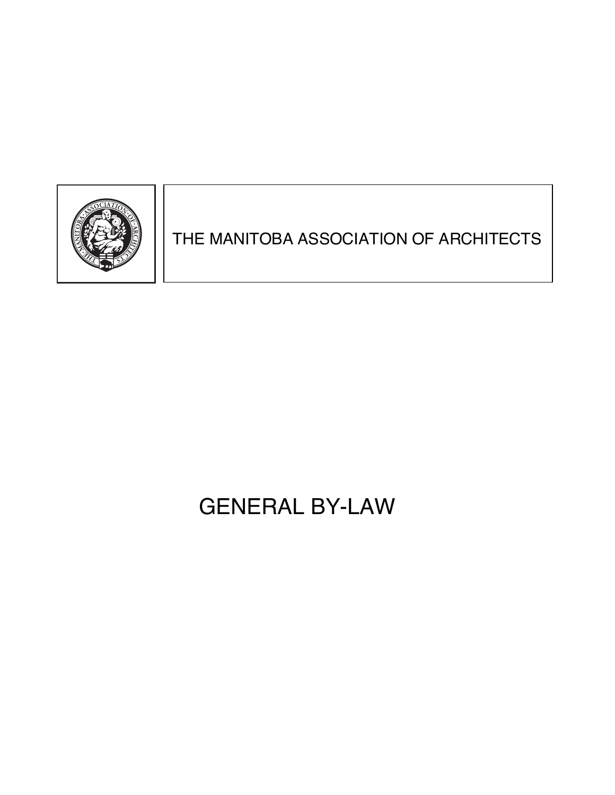

## THE MANITOBA ASSOCIATION OF ARCHITECTS

# GENERAL BY-LAW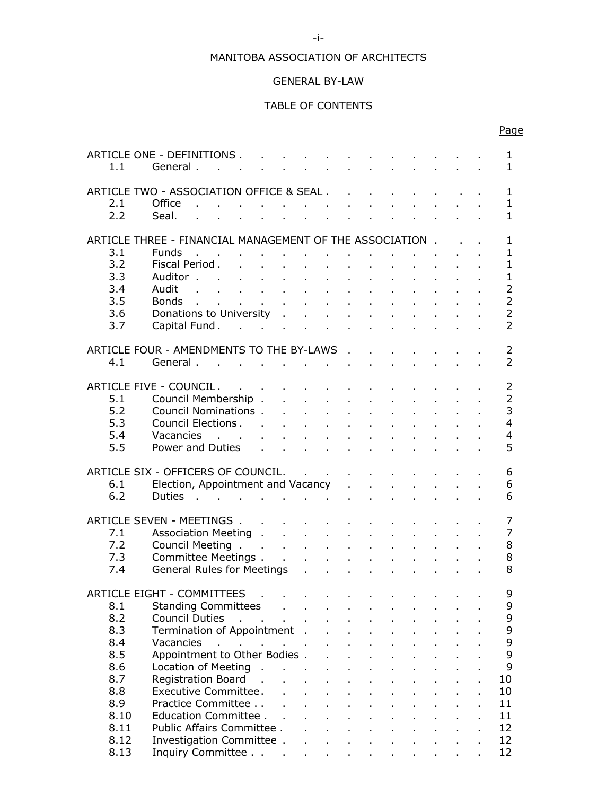## MANITOBA ASSOCIATION OF ARCHITECTS

## GENERAL BY-LAW

## TABLE OF CONTENTS

| 1.1        | ARTICLE ONE - DEFINITIONS.<br>General.                                                                                                                                                                                                      |                                                                                                                                                                                                                                    |  | and a state of the |  |  |                                                                                          |  | 1<br>$\mathbf{1}$                |
|------------|---------------------------------------------------------------------------------------------------------------------------------------------------------------------------------------------------------------------------------------------|------------------------------------------------------------------------------------------------------------------------------------------------------------------------------------------------------------------------------------|--|--------------------|--|--|------------------------------------------------------------------------------------------|--|----------------------------------|
|            |                                                                                                                                                                                                                                             |                                                                                                                                                                                                                                    |  |                    |  |  |                                                                                          |  |                                  |
|            | ARTICLE TWO - ASSOCIATION OFFICE & SEAL                                                                                                                                                                                                     |                                                                                                                                                                                                                                    |  |                    |  |  |                                                                                          |  | 1                                |
| 2.1        | Office                                                                                                                                                                                                                                      | $\mathcal{L}_1$ , which is a set of the set of the set of the set of the set of the set of the set of the set of the set of the set of the set of the set of the set of the set of the set of the set of the set of the set of the |  |                    |  |  |                                                                                          |  | $\mathbf{1}$                     |
| 2.2        | Seal.                                                                                                                                                                                                                                       |                                                                                                                                                                                                                                    |  |                    |  |  | and the contract of the contract of                                                      |  | $\mathbf{1}$                     |
|            |                                                                                                                                                                                                                                             |                                                                                                                                                                                                                                    |  |                    |  |  |                                                                                          |  |                                  |
|            | ARTICLE THREE - FINANCIAL MANAGEMENT OF THE ASSOCIATION.                                                                                                                                                                                    |                                                                                                                                                                                                                                    |  |                    |  |  |                                                                                          |  | $\mathbf{1}$                     |
| 3.1        | <b>Funds</b>                                                                                                                                                                                                                                |                                                                                                                                                                                                                                    |  |                    |  |  |                                                                                          |  | $\mathbf{1}$                     |
| 3.2        | Fiscal Period.                                                                                                                                                                                                                              |                                                                                                                                                                                                                                    |  |                    |  |  |                                                                                          |  | $\mathbf{1}$                     |
| 3.3        |                                                                                                                                                                                                                                             |                                                                                                                                                                                                                                    |  |                    |  |  |                                                                                          |  | $\mathbf{1}$                     |
| 3.4        |                                                                                                                                                                                                                                             |                                                                                                                                                                                                                                    |  |                    |  |  |                                                                                          |  | $\overline{2}$                   |
| 3.5        | Bonds.                                                                                                                                                                                                                                      | and a series of the contract of the contract of the contract of                                                                                                                                                                    |  |                    |  |  |                                                                                          |  | $\overline{2}$                   |
| 3.6        | Donations to University                                                                                                                                                                                                                     |                                                                                                                                                                                                                                    |  |                    |  |  |                                                                                          |  | $\overline{2}$                   |
| 3.7        | Capital Fund                                                                                                                                                                                                                                |                                                                                                                                                                                                                                    |  |                    |  |  |                                                                                          |  | $\overline{2}$                   |
|            |                                                                                                                                                                                                                                             |                                                                                                                                                                                                                                    |  |                    |  |  |                                                                                          |  |                                  |
|            | ARTICLE FOUR - AMENDMENTS TO THE BY-LAWS                                                                                                                                                                                                    |                                                                                                                                                                                                                                    |  |                    |  |  |                                                                                          |  | $\overline{2}$                   |
| 4.1        | General.<br>the contract of the contract of the contract of the contract of                                                                                                                                                                 |                                                                                                                                                                                                                                    |  |                    |  |  |                                                                                          |  | $\overline{2}$                   |
|            |                                                                                                                                                                                                                                             |                                                                                                                                                                                                                                    |  |                    |  |  |                                                                                          |  |                                  |
|            | ARTICLE FIVE - COUNCIL.                                                                                                                                                                                                                     | the contract of the contract of the contract of the contract of                                                                                                                                                                    |  |                    |  |  |                                                                                          |  | $\overline{2}$                   |
| 5.1        | Council Membership                                                                                                                                                                                                                          |                                                                                                                                                                                                                                    |  |                    |  |  |                                                                                          |  | $\overline{2}$<br>$\overline{3}$ |
| 5.2        | Council Nominations                                                                                                                                                                                                                         |                                                                                                                                                                                                                                    |  |                    |  |  |                                                                                          |  |                                  |
| 5.3        | Council Elections.                                                                                                                                                                                                                          |                                                                                                                                                                                                                                    |  |                    |  |  |                                                                                          |  | $\overline{4}$                   |
| 5.4        | and the contract of the contract of the contract of the contract of the contract of the contract of the contract of the contract of the contract of the contract of the contract of the contract of the contract of the contra<br>Vacancies |                                                                                                                                                                                                                                    |  |                    |  |  |                                                                                          |  | $\overline{4}$<br>5              |
| 5.5        | Power and Duties                                                                                                                                                                                                                            |                                                                                                                                                                                                                                    |  |                    |  |  |                                                                                          |  |                                  |
|            | ARTICLE SIX - OFFICERS OF COUNCIL.                                                                                                                                                                                                          |                                                                                                                                                                                                                                    |  |                    |  |  |                                                                                          |  | 6                                |
|            |                                                                                                                                                                                                                                             |                                                                                                                                                                                                                                    |  |                    |  |  | the contract of the contract of the con-                                                 |  | 6                                |
| 6.1<br>6.2 | Election, Appointment and Vacancy                                                                                                                                                                                                           |                                                                                                                                                                                                                                    |  |                    |  |  |                                                                                          |  | 6                                |
|            | the contract of the contract of the contract of the contract of the contract of<br><b>Duties</b>                                                                                                                                            |                                                                                                                                                                                                                                    |  |                    |  |  |                                                                                          |  |                                  |
|            | ARTICLE SEVEN - MEETINGS                                                                                                                                                                                                                    |                                                                                                                                                                                                                                    |  |                    |  |  |                                                                                          |  | $\overline{7}$                   |
| 7.1        | Association Meeting                                                                                                                                                                                                                         |                                                                                                                                                                                                                                    |  |                    |  |  |                                                                                          |  | $\overline{7}$                   |
| 7.2        | Council Meeting                                                                                                                                                                                                                             |                                                                                                                                                                                                                                    |  |                    |  |  |                                                                                          |  | 8                                |
| 7.3        | Committee Meetings                                                                                                                                                                                                                          |                                                                                                                                                                                                                                    |  |                    |  |  |                                                                                          |  | 8                                |
| 7.4        | General Rules for Meetings                                                                                                                                                                                                                  |                                                                                                                                                                                                                                    |  |                    |  |  |                                                                                          |  | 8                                |
|            |                                                                                                                                                                                                                                             |                                                                                                                                                                                                                                    |  |                    |  |  |                                                                                          |  |                                  |
|            | ARTICLE EIGHT - COMMITTEES                                                                                                                                                                                                                  |                                                                                                                                                                                                                                    |  |                    |  |  |                                                                                          |  | 9                                |
| 8.1        | Standing Committees                                                                                                                                                                                                                         |                                                                                                                                                                                                                                    |  |                    |  |  |                                                                                          |  | 9                                |
| 8.2        | Council Duties                                                                                                                                                                                                                              | $\mathcal{A}$ and $\mathcal{A}$ are also assumed in the $\mathcal{A}$                                                                                                                                                              |  |                    |  |  | $\mathcal{L}^{\text{max}}$ and $\mathcal{L}^{\text{max}}$ and $\mathcal{L}^{\text{max}}$ |  | 9                                |
| 8.3        |                                                                                                                                                                                                                                             |                                                                                                                                                                                                                                    |  |                    |  |  |                                                                                          |  | 9                                |
| 8.4        |                                                                                                                                                                                                                                             |                                                                                                                                                                                                                                    |  |                    |  |  |                                                                                          |  | 9                                |
| 8.5        | Vacancies<br>Appointment to Other Bodies<br>Appointment to Other Bodies                                                                                                                                                                     |                                                                                                                                                                                                                                    |  |                    |  |  |                                                                                          |  | $\mathsf 9$                      |
| 8.6        |                                                                                                                                                                                                                                             |                                                                                                                                                                                                                                    |  |                    |  |  |                                                                                          |  | 9                                |
| 8.7        | Location of Meeting<br>Registration Board<br>Registration Board<br>Registration Board<br>Registration Board .                                                                                                                               |                                                                                                                                                                                                                                    |  |                    |  |  | $\mathcal{L}^{\text{max}}(\mathcal{L}^{\text{max}})$ and $\mathcal{L}^{\text{max}}$      |  | 10                               |
| 8.8        |                                                                                                                                                                                                                                             |                                                                                                                                                                                                                                    |  |                    |  |  | $\Delta \phi$ , $\Delta \phi$ , $\Delta \phi$ , $\Delta \phi$                            |  | 10                               |
| 8.9        | Executive Committee.<br>Practice Committee                                                                                                                                                                                                  |                                                                                                                                                                                                                                    |  |                    |  |  | $\Delta \phi$ , $\Delta \phi$ , $\Delta \phi$ , $\Delta \phi$                            |  | 11                               |
| 8.10       | Education Committee                                                                                                                                                                                                                         |                                                                                                                                                                                                                                    |  |                    |  |  |                                                                                          |  | 11                               |
| 8.11       | Public Affairs Committee.                                                                                                                                                                                                                   |                                                                                                                                                                                                                                    |  |                    |  |  |                                                                                          |  | 12                               |
| 8.12       | Investigation Committee                                                                                                                                                                                                                     |                                                                                                                                                                                                                                    |  |                    |  |  |                                                                                          |  | 12                               |
| 8.13       | Inquiry Committee                                                                                                                                                                                                                           |                                                                                                                                                                                                                                    |  |                    |  |  |                                                                                          |  | 12 <sup>2</sup>                  |
|            |                                                                                                                                                                                                                                             |                                                                                                                                                                                                                                    |  |                    |  |  |                                                                                          |  |                                  |

Page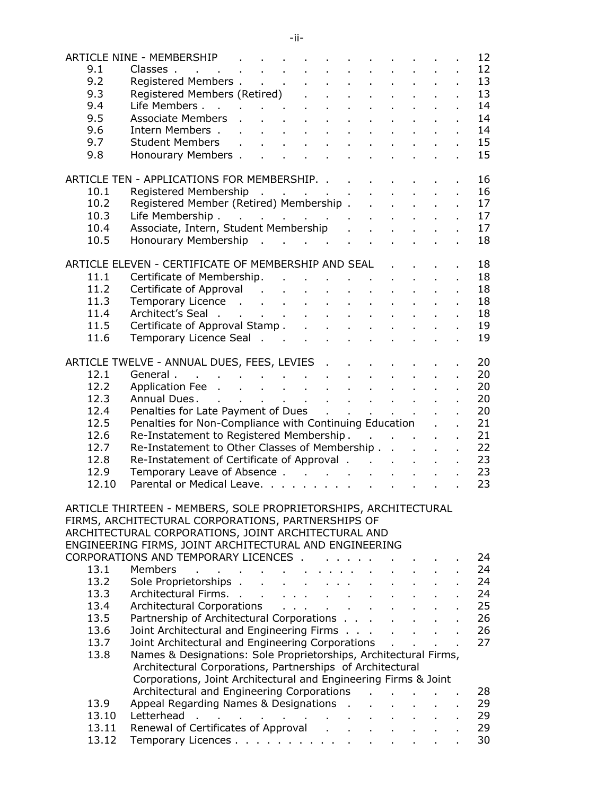|       |                                                                                                                                                                                                                           |                                            |                                                 |  |                |                            |                            |  | 12 |
|-------|---------------------------------------------------------------------------------------------------------------------------------------------------------------------------------------------------------------------------|--------------------------------------------|-------------------------------------------------|--|----------------|----------------------------|----------------------------|--|----|
|       |                                                                                                                                                                                                                           |                                            |                                                 |  |                |                            |                            |  | 12 |
|       |                                                                                                                                                                                                                           |                                            |                                                 |  |                |                            |                            |  | 13 |
|       |                                                                                                                                                                                                                           |                                            |                                                 |  |                |                            |                            |  | 13 |
|       | ARTICLE NINE - MEMBERSHIP<br>9.1 Classes<br>9.2 Registered Members<br>9.3 Registered Members (Retired)<br>9.4 Life Members<br>9.5 Associate Members<br>9.6 Intern Members<br>9.7 Student Members<br>9.8 Honourary Members |                                            |                                                 |  |                |                            |                            |  | 14 |
|       |                                                                                                                                                                                                                           |                                            |                                                 |  |                |                            |                            |  | 14 |
|       |                                                                                                                                                                                                                           |                                            |                                                 |  |                |                            |                            |  | 14 |
|       |                                                                                                                                                                                                                           |                                            |                                                 |  |                |                            |                            |  | 15 |
|       |                                                                                                                                                                                                                           |                                            |                                                 |  |                |                            |                            |  | 15 |
|       |                                                                                                                                                                                                                           |                                            |                                                 |  |                |                            |                            |  |    |
|       |                                                                                                                                                                                                                           |                                            |                                                 |  |                |                            |                            |  |    |
|       | ARTICLE TEN - APPLICATIONS FOR MEMBERSHIP.                                                                                                                                                                                |                                            |                                                 |  |                |                            |                            |  | 16 |
| 10.1  |                                                                                                                                                                                                                           |                                            |                                                 |  |                |                            |                            |  | 16 |
| 10.2  |                                                                                                                                                                                                                           |                                            |                                                 |  |                |                            |                            |  | 17 |
| 10.3  |                                                                                                                                                                                                                           |                                            |                                                 |  |                |                            |                            |  | 17 |
| 10.4  | Registered Membership<br>Registered Member (Retired) Membership<br>Life Membership<br>Associate, Intern, Student Membership                                                                                               |                                            |                                                 |  |                |                            |                            |  | 17 |
| 10.5  | Honourary Membership                                                                                                                                                                                                      |                                            |                                                 |  |                |                            |                            |  | 18 |
|       |                                                                                                                                                                                                                           |                                            |                                                 |  |                |                            |                            |  |    |
|       | ARTICLE ELEVEN - CERTIFICATE OF MEMBERSHIP AND SEAL                                                                                                                                                                       |                                            |                                                 |  |                |                            |                            |  | 18 |
| 11.1  | Certificate of Membership.                                                                                                                                                                                                |                                            |                                                 |  |                |                            |                            |  | 18 |
| 11.2  | Certificate of Approval (Certificate of Approval (Certificate of Approval (Certificate Certificate Certificate                                                                                                            |                                            |                                                 |  |                |                            |                            |  | 18 |
| 11.3  | Temporary Licence                                                                                                                                                                                                         |                                            |                                                 |  |                |                            |                            |  | 18 |
| 11.4  | Architect's Seal                                                                                                                                                                                                          |                                            |                                                 |  |                |                            |                            |  | 18 |
| 11.5  | Certificate of Approval Stamp                                                                                                                                                                                             |                                            |                                                 |  |                |                            |                            |  | 19 |
| 11.6  | Temporary Licence Seal                                                                                                                                                                                                    |                                            |                                                 |  |                |                            |                            |  | 19 |
|       |                                                                                                                                                                                                                           |                                            |                                                 |  |                |                            |                            |  |    |
|       | ARTICLE TWELVE - ANNUAL DUES, FEES, LEVIES                                                                                                                                                                                |                                            |                                                 |  |                |                            |                            |  | 20 |
| 12.1  | General                                                                                                                                                                                                                   |                                            |                                                 |  |                |                            |                            |  | 20 |
| 12.2  | Application Fee                                                                                                                                                                                                           |                                            |                                                 |  |                |                            |                            |  | 20 |
| 12.3  | Annual Dues.                                                                                                                                                                                                              |                                            |                                                 |  |                |                            |                            |  | 20 |
| 12.4  | Penalties for Late Payment of Dues                                                                                                                                                                                        |                                            |                                                 |  |                |                            |                            |  | 20 |
| 12.5  | Penalties for Non-Compliance with Continuing Education                                                                                                                                                                    |                                            |                                                 |  |                |                            |                            |  | 21 |
| 12.6  | Re-Instatement to Registered Membership                                                                                                                                                                                   |                                            |                                                 |  |                |                            |                            |  | 21 |
| 12.7  | Re-Instatement to Other Classes of Membership                                                                                                                                                                             |                                            |                                                 |  |                |                            |                            |  | 22 |
| 12.8  |                                                                                                                                                                                                                           |                                            |                                                 |  |                |                            |                            |  |    |
|       | Re-Instatement of Certificate of Approval                                                                                                                                                                                 |                                            |                                                 |  |                |                            |                            |  | 23 |
| 12.9  | Temporary Leave of Absence                                                                                                                                                                                                |                                            |                                                 |  |                |                            |                            |  | 23 |
| 12.10 | Parental or Medical Leave.                                                                                                                                                                                                |                                            |                                                 |  |                |                            |                            |  | 23 |
|       |                                                                                                                                                                                                                           |                                            |                                                 |  |                |                            |                            |  |    |
|       | ARTICLE THIRTEEN - MEMBERS, SOLE PROPRIETORSHIPS, ARCHITECTURAL                                                                                                                                                           |                                            |                                                 |  |                |                            |                            |  |    |
|       | FIRMS, ARCHITECTURAL CORPORATIONS, PARTNERSHIPS OF                                                                                                                                                                        |                                            |                                                 |  |                |                            |                            |  |    |
|       | ARCHITECTURAL CORPORATIONS, JOINT ARCHITECTURAL AND                                                                                                                                                                       |                                            |                                                 |  |                |                            |                            |  |    |
|       | ENGINEERING FIRMS, JOINT ARCHITECTURAL AND ENGINEERING                                                                                                                                                                    |                                            |                                                 |  |                |                            |                            |  |    |
|       | CORPORATIONS AND TEMPORARY LICENCES                                                                                                                                                                                       |                                            |                                                 |  |                |                            |                            |  | 24 |
| 13.1  | <b>Members</b><br>the contract of the contract and a series                                                                                                                                                               |                                            |                                                 |  |                |                            |                            |  | 24 |
| 13.2  | Sole Proprietorships                                                                                                                                                                                                      |                                            | $\Delta \sim 10^{11}$ and $\Delta \sim 10^{11}$ |  | $\sim 10^{-1}$ |                            |                            |  | 24 |
| 13.3  | Architectural Firms.                                                                                                                                                                                                      |                                            |                                                 |  | $\sim$         |                            |                            |  | 24 |
| 13.4  | Architectural Corporations                                                                                                                                                                                                |                                            |                                                 |  |                | $\mathbf{r}$               |                            |  | 25 |
| 13.5  | Partnership of Architectural Corporations                                                                                                                                                                                 |                                            |                                                 |  |                | $\mathcal{L}^{\text{max}}$ | $\mathcal{L}^{\text{max}}$ |  | 26 |
| 13.6  | Joint Architectural and Engineering Firms                                                                                                                                                                                 |                                            |                                                 |  |                |                            | $\Delta \sim 100$          |  | 26 |
| 13.7  | Joint Architectural and Engineering Corporations                                                                                                                                                                          |                                            |                                                 |  |                |                            |                            |  | 27 |
| 13.8  | Names & Designations: Sole Proprietorships, Architectural Firms,                                                                                                                                                          |                                            |                                                 |  |                |                            |                            |  |    |
|       | Architectural Corporations, Partnerships of Architectural                                                                                                                                                                 |                                            |                                                 |  |                |                            |                            |  |    |
|       | Corporations, Joint Architectural and Engineering Firms & Joint                                                                                                                                                           |                                            |                                                 |  |                |                            |                            |  |    |
|       | Architectural and Engineering Corporations                                                                                                                                                                                |                                            |                                                 |  |                |                            |                            |  | 28 |
| 13.9  | Appeal Regarding Names & Designations .                                                                                                                                                                                   |                                            |                                                 |  |                |                            |                            |  | 29 |
| 13.10 | Letterhead                                                                                                                                                                                                                | and a series of the contract of the series |                                                 |  |                |                            |                            |  | 29 |
| 13.11 | Renewal of Certificates of Approval (a) a contact the contract of Approval (a) a contact the Renewal Approval (                                                                                                           |                                            |                                                 |  |                | <b>Service State</b>       |                            |  | 29 |
| 13.12 | Temporary Licences                                                                                                                                                                                                        |                                            |                                                 |  |                |                            |                            |  | 30 |
|       |                                                                                                                                                                                                                           |                                            |                                                 |  |                |                            |                            |  |    |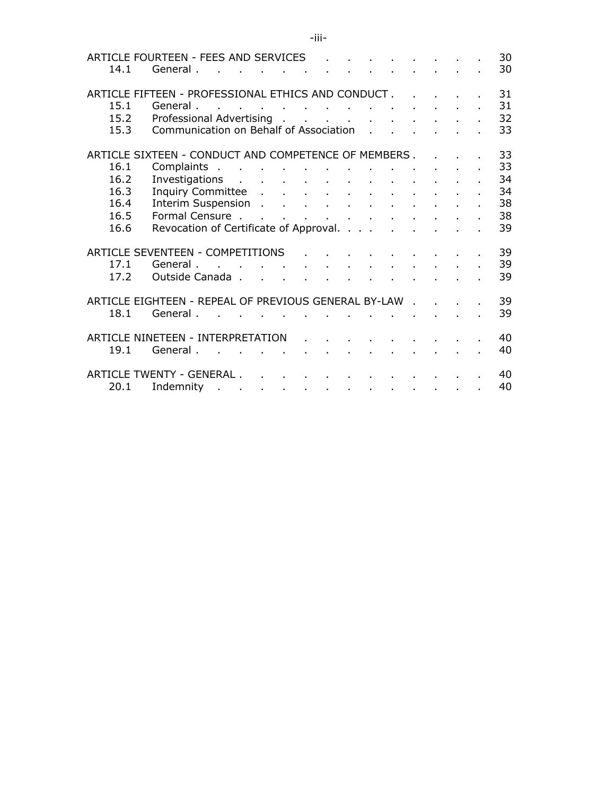| 14.1                              | ARTICLE FOURTEEN - FEES AND SERVICES<br>General.     | the contract of the contract of the contract of the contract of the contract of the contract of the contract of |  |  |  |  |  |  |  |  | 30<br>30 |
|-----------------------------------|------------------------------------------------------|-----------------------------------------------------------------------------------------------------------------|--|--|--|--|--|--|--|--|----------|
|                                   | ARTICLE FIFTEEN - PROFESSIONAL ETHICS AND CONDUCT    |                                                                                                                 |  |  |  |  |  |  |  |  | 31       |
| 15.1                              | General.                                             | and a series of the control of the control of the control of the control of                                     |  |  |  |  |  |  |  |  | 31       |
| 15.2                              | Professional Advertising                             |                                                                                                                 |  |  |  |  |  |  |  |  | 32       |
| 15.3                              | Communication on Behalf of Association               |                                                                                                                 |  |  |  |  |  |  |  |  | 33       |
|                                   | ARTICLE SIXTEEN - CONDUCT AND COMPETENCE OF MEMBERS  |                                                                                                                 |  |  |  |  |  |  |  |  | 33       |
| 16.1                              | Complaints                                           |                                                                                                                 |  |  |  |  |  |  |  |  | 33       |
| 16.2                              | Investigations                                       |                                                                                                                 |  |  |  |  |  |  |  |  | 34       |
| 16.3                              | Inquiry Committee                                    |                                                                                                                 |  |  |  |  |  |  |  |  | 34       |
| 16.4                              | Interim Suspension                                   |                                                                                                                 |  |  |  |  |  |  |  |  | 38       |
| 16.5                              |                                                      |                                                                                                                 |  |  |  |  |  |  |  |  | 38       |
| 16.6                              | Revocation of Certificate of Approval.               |                                                                                                                 |  |  |  |  |  |  |  |  | 39       |
|                                   | ARTICLE SEVENTEEN - COMPETITIONS                     |                                                                                                                 |  |  |  |  |  |  |  |  | 39       |
| 17.1                              | General.                                             | the contract of the contract of the contract of the contract of                                                 |  |  |  |  |  |  |  |  | 39       |
| 17.2                              | Outside Canada                                       |                                                                                                                 |  |  |  |  |  |  |  |  | 39       |
|                                   | ARTICLE EIGHTEEN - REPEAL OF PREVIOUS GENERAL BY-LAW |                                                                                                                 |  |  |  |  |  |  |  |  | 39       |
| 18.1                              | General.                                             | and a series of the control of the control of the control of the con-                                           |  |  |  |  |  |  |  |  | 39       |
| ARTICLE NINETEEN - INTERPRETATION |                                                      |                                                                                                                 |  |  |  |  |  |  |  |  | 40       |
| 19.1                              | General.                                             | the contract of the contract of the contract of the contract of                                                 |  |  |  |  |  |  |  |  | 40       |
|                                   |                                                      |                                                                                                                 |  |  |  |  |  |  |  |  |          |
|                                   | ARTICLE TWENTY - GENERAL                             |                                                                                                                 |  |  |  |  |  |  |  |  | 40       |
| 20.1                              | Indemnity                                            |                                                                                                                 |  |  |  |  |  |  |  |  | 40       |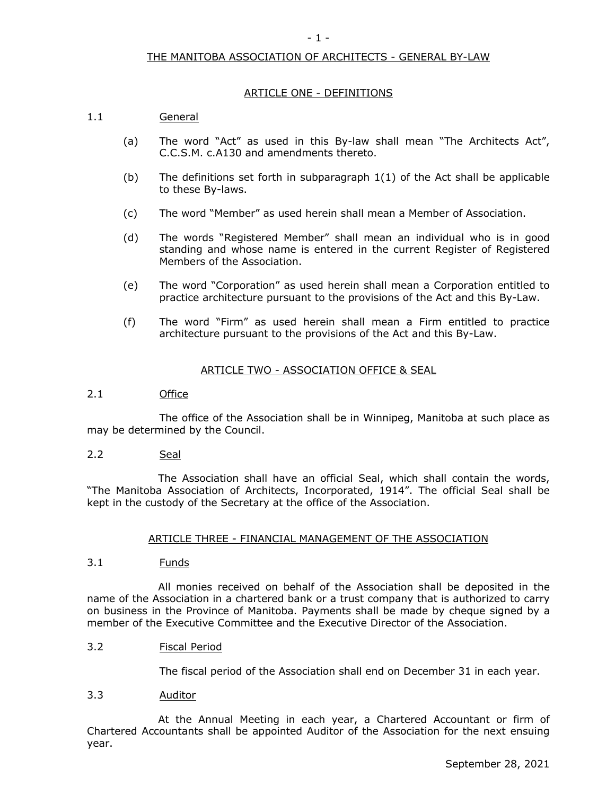## THE MANITOBA ASSOCIATION OF ARCHITECTS - GENERAL BY-LAW

#### ARTICLE ONE - DEFINITIONS

## 1.1 General

- (a) The word "Act" as used in this By-law shall mean "The Architects Act", C.C.S.M. c.A130 and amendments thereto.
- (b) The definitions set forth in subparagraph 1(1) of the Act shall be applicable to these By-laws.
- (c) The word "Member" as used herein shall mean a Member of Association.
- (d) The words "Registered Member" shall mean an individual who is in good standing and whose name is entered in the current Register of Registered Members of the Association.
- (e) The word "Corporation" as used herein shall mean a Corporation entitled to practice architecture pursuant to the provisions of the Act and this By-Law.
- (f) The word "Firm" as used herein shall mean a Firm entitled to practice architecture pursuant to the provisions of the Act and this By-Law.

#### ARTICLE TWO - ASSOCIATION OFFICE & SEAL

## 2.1 Office

The office of the Association shall be in Winnipeg, Manitoba at such place as may be determined by the Council.

2.2 Seal

The Association shall have an official Seal, which shall contain the words, "The Manitoba Association of Architects, Incorporated, 1914". The official Seal shall be kept in the custody of the Secretary at the office of the Association.

#### ARTICLE THREE - FINANCIAL MANAGEMENT OF THE ASSOCIATION

3.1 Funds

All monies received on behalf of the Association shall be deposited in the name of the Association in a chartered bank or a trust company that is authorized to carry on business in the Province of Manitoba. Payments shall be made by cheque signed by a member of the Executive Committee and the Executive Director of the Association.

3.2 Fiscal Period

The fiscal period of the Association shall end on December 31 in each year.

#### 3.3 Auditor

At the Annual Meeting in each year, a Chartered Accountant or firm of Chartered Accountants shall be appointed Auditor of the Association for the next ensuing year.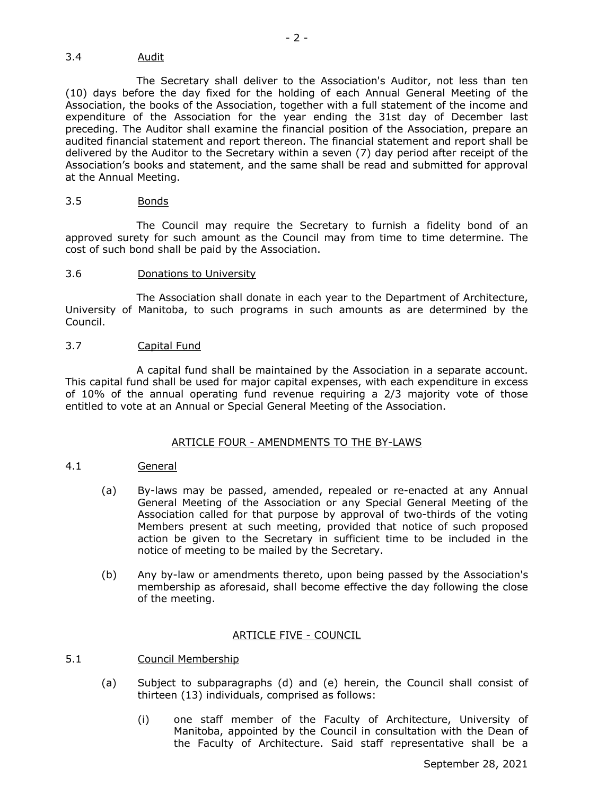## 3.4 Audit

The Secretary shall deliver to the Association's Auditor, not less than ten (10) days before the day fixed for the holding of each Annual General Meeting of the Association, the books of the Association, together with a full statement of the income and expenditure of the Association for the year ending the 31st day of December last preceding. The Auditor shall examine the financial position of the Association, prepare an audited financial statement and report thereon. The financial statement and report shall be delivered by the Auditor to the Secretary within a seven (7) day period after receipt of the Association's books and statement, and the same shall be read and submitted for approval at the Annual Meeting.

#### 3.5 Bonds

The Council may require the Secretary to furnish a fidelity bond of an approved surety for such amount as the Council may from time to time determine. The cost of such bond shall be paid by the Association.

## 3.6 Donations to University

The Association shall donate in each year to the Department of Architecture, University of Manitoba, to such programs in such amounts as are determined by the Council.

#### 3.7 Capital Fund

A capital fund shall be maintained by the Association in a separate account. This capital fund shall be used for major capital expenses, with each expenditure in excess of 10% of the annual operating fund revenue requiring a 2/3 majority vote of those entitled to vote at an Annual or Special General Meeting of the Association.

#### ARTICLE FOUR - AMENDMENTS TO THE BY-LAWS

## 4.1 General

- (a) By-laws may be passed, amended, repealed or re-enacted at any Annual General Meeting of the Association or any Special General Meeting of the Association called for that purpose by approval of two-thirds of the voting Members present at such meeting, provided that notice of such proposed action be given to the Secretary in sufficient time to be included in the notice of meeting to be mailed by the Secretary.
- (b) Any by-law or amendments thereto, upon being passed by the Association's membership as aforesaid, shall become effective the day following the close of the meeting.

## ARTICLE FIVE - COUNCIL

## 5.1 Council Membership

- (a) Subject to subparagraphs (d) and (e) herein, the Council shall consist of thirteen (13) individuals, comprised as follows:
	- (i) one staff member of the Faculty of Architecture, University of Manitoba, appointed by the Council in consultation with the Dean of the Faculty of Architecture. Said staff representative shall be a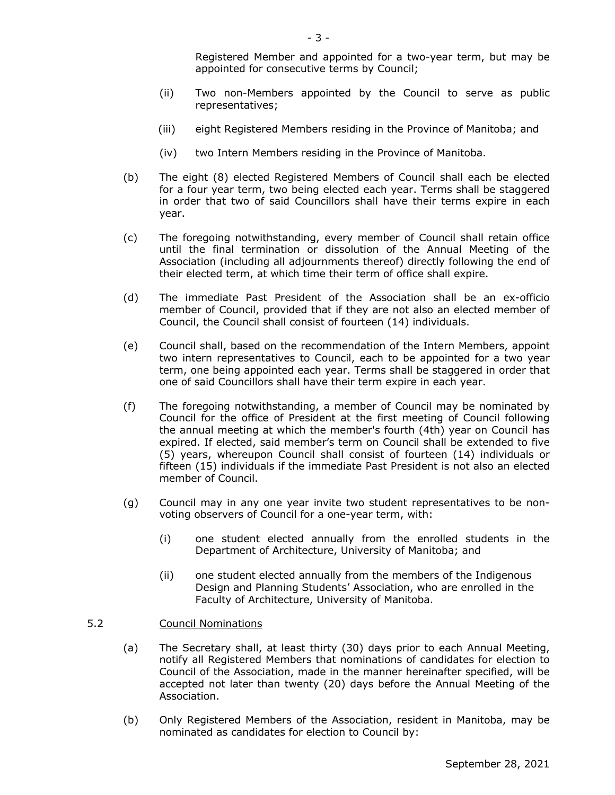Registered Member and appointed for a two-year term, but may be appointed for consecutive terms by Council;

- (ii) Two non-Members appointed by the Council to serve as public representatives;
- (iii) eight Registered Members residing in the Province of Manitoba; and
- (iv) two Intern Members residing in the Province of Manitoba.
- (b) The eight (8) elected Registered Members of Council shall each be elected for a four year term, two being elected each year. Terms shall be staggered in order that two of said Councillors shall have their terms expire in each year.
- (c) The foregoing notwithstanding, every member of Council shall retain office until the final termination or dissolution of the Annual Meeting of the Association (including all adjournments thereof) directly following the end of their elected term, at which time their term of office shall expire.
- (d) The immediate Past President of the Association shall be an ex-officio member of Council, provided that if they are not also an elected member of Council, the Council shall consist of fourteen (14) individuals.
- (e) Council shall, based on the recommendation of the Intern Members, appoint two intern representatives to Council, each to be appointed for a two year term, one being appointed each year. Terms shall be staggered in order that one of said Councillors shall have their term expire in each year.
- (f) The foregoing notwithstanding, a member of Council may be nominated by Council for the office of President at the first meeting of Council following the annual meeting at which the member's fourth (4th) year on Council has expired. If elected, said member's term on Council shall be extended to five (5) years, whereupon Council shall consist of fourteen (14) individuals or fifteen (15) individuals if the immediate Past President is not also an elected member of Council.
- (g) Council may in any one year invite two student representatives to be nonvoting observers of Council for a one-year term, with:
	- (i) one student elected annually from the enrolled students in the Department of Architecture, University of Manitoba; and
	- (ii) one student elected annually from the members of the Indigenous Design and Planning Students' Association, who are enrolled in the Faculty of Architecture, University of Manitoba.

## 5.2 Council Nominations

- (a) The Secretary shall, at least thirty (30) days prior to each Annual Meeting, notify all Registered Members that nominations of candidates for election to Council of the Association, made in the manner hereinafter specified, will be accepted not later than twenty (20) days before the Annual Meeting of the Association.
- (b) Only Registered Members of the Association, resident in Manitoba, may be nominated as candidates for election to Council by: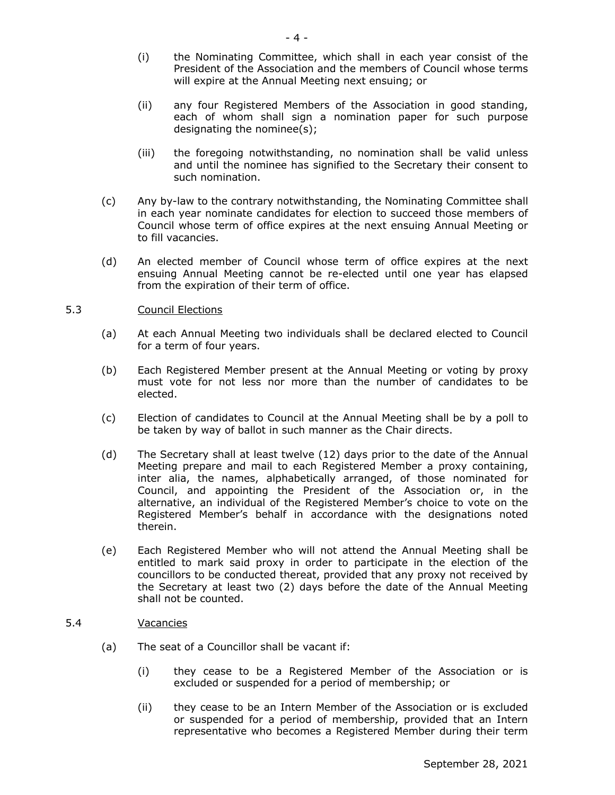- (i) the Nominating Committee, which shall in each year consist of the President of the Association and the members of Council whose terms will expire at the Annual Meeting next ensuing; or
- (ii) any four Registered Members of the Association in good standing, each of whom shall sign a nomination paper for such purpose designating the nominee(s);
- (iii) the foregoing notwithstanding, no nomination shall be valid unless and until the nominee has signified to the Secretary their consent to such nomination.
- (c) Any by-law to the contrary notwithstanding, the Nominating Committee shall in each year nominate candidates for election to succeed those members of Council whose term of office expires at the next ensuing Annual Meeting or to fill vacancies.
- (d) An elected member of Council whose term of office expires at the next ensuing Annual Meeting cannot be re-elected until one year has elapsed from the expiration of their term of office.

#### 5.3 Council Elections

- (a) At each Annual Meeting two individuals shall be declared elected to Council for a term of four years.
- (b) Each Registered Member present at the Annual Meeting or voting by proxy must vote for not less nor more than the number of candidates to be elected.
- (c) Election of candidates to Council at the Annual Meeting shall be by a poll to be taken by way of ballot in such manner as the Chair directs.
- (d) The Secretary shall at least twelve (12) days prior to the date of the Annual Meeting prepare and mail to each Registered Member a proxy containing, inter alia, the names, alphabetically arranged, of those nominated for Council, and appointing the President of the Association or, in the alternative, an individual of the Registered Member's choice to vote on the Registered Member's behalf in accordance with the designations noted therein.
- (e) Each Registered Member who will not attend the Annual Meeting shall be entitled to mark said proxy in order to participate in the election of the councillors to be conducted thereat, provided that any proxy not received by the Secretary at least two (2) days before the date of the Annual Meeting shall not be counted.

#### 5.4 Vacancies

- (a) The seat of a Councillor shall be vacant if:
	- (i) they cease to be a Registered Member of the Association or is excluded or suspended for a period of membership; or
	- (ii) they cease to be an Intern Member of the Association or is excluded or suspended for a period of membership, provided that an Intern representative who becomes a Registered Member during their term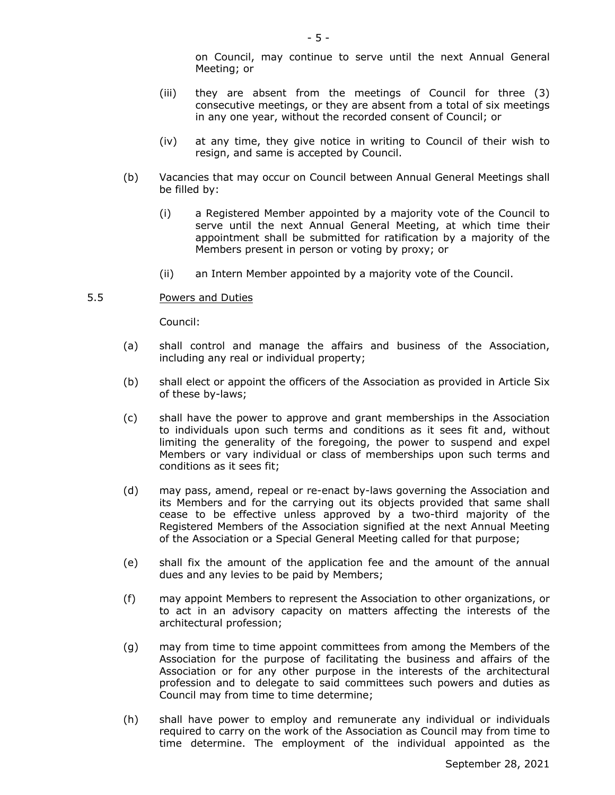on Council, may continue to serve until the next Annual General Meeting; or

- (iii) they are absent from the meetings of Council for three (3) consecutive meetings, or they are absent from a total of six meetings in any one year, without the recorded consent of Council; or
- (iv) at any time, they give notice in writing to Council of their wish to resign, and same is accepted by Council.
- (b) Vacancies that may occur on Council between Annual General Meetings shall be filled by:
	- (i) a Registered Member appointed by a majority vote of the Council to serve until the next Annual General Meeting, at which time their appointment shall be submitted for ratification by a majority of the Members present in person or voting by proxy; or
	- (ii) an Intern Member appointed by a majority vote of the Council.

## 5.5 Powers and Duties

Council:

- (a) shall control and manage the affairs and business of the Association, including any real or individual property;
- (b) shall elect or appoint the officers of the Association as provided in Article Six of these by-laws;
- (c) shall have the power to approve and grant memberships in the Association to individuals upon such terms and conditions as it sees fit and, without limiting the generality of the foregoing, the power to suspend and expel Members or vary individual or class of memberships upon such terms and conditions as it sees fit;
- (d) may pass, amend, repeal or re-enact by-laws governing the Association and its Members and for the carrying out its objects provided that same shall cease to be effective unless approved by a two-third majority of the Registered Members of the Association signified at the next Annual Meeting of the Association or a Special General Meeting called for that purpose;
- (e) shall fix the amount of the application fee and the amount of the annual dues and any levies to be paid by Members;
- (f) may appoint Members to represent the Association to other organizations, or to act in an advisory capacity on matters affecting the interests of the architectural profession;
- (g) may from time to time appoint committees from among the Members of the Association for the purpose of facilitating the business and affairs of the Association or for any other purpose in the interests of the architectural profession and to delegate to said committees such powers and duties as Council may from time to time determine;
- (h) shall have power to employ and remunerate any individual or individuals required to carry on the work of the Association as Council may from time to time determine. The employment of the individual appointed as the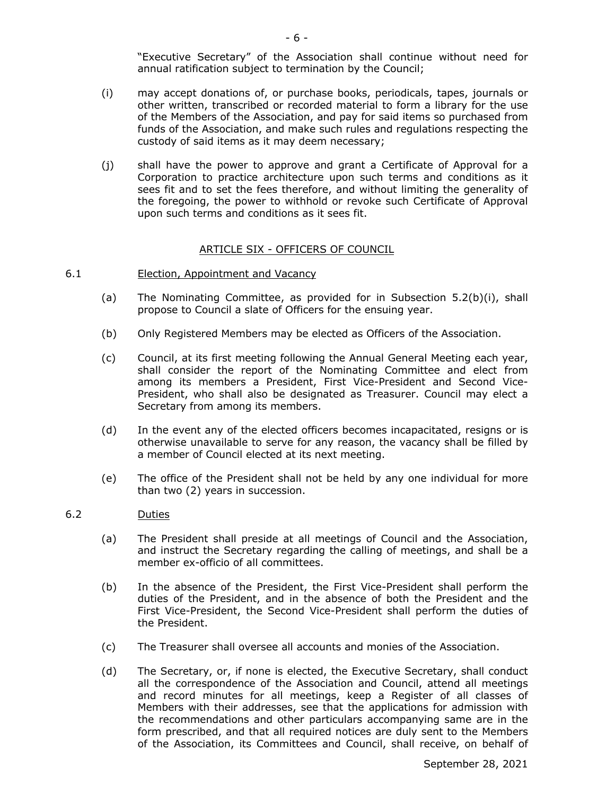"Executive Secretary" of the Association shall continue without need for annual ratification subject to termination by the Council;

- (i) may accept donations of, or purchase books, periodicals, tapes, journals or other written, transcribed or recorded material to form a library for the use of the Members of the Association, and pay for said items so purchased from funds of the Association, and make such rules and regulations respecting the custody of said items as it may deem necessary;
- (j) shall have the power to approve and grant a Certificate of Approval for a Corporation to practice architecture upon such terms and conditions as it sees fit and to set the fees therefore, and without limiting the generality of the foregoing, the power to withhold or revoke such Certificate of Approval upon such terms and conditions as it sees fit.

#### ARTICLE SIX - OFFICERS OF COUNCIL

#### 6.1 Election, Appointment and Vacancy

- (a) The Nominating Committee, as provided for in Subsection 5.2(b)(i), shall propose to Council a slate of Officers for the ensuing year.
- (b) Only Registered Members may be elected as Officers of the Association.
- (c) Council, at its first meeting following the Annual General Meeting each year, shall consider the report of the Nominating Committee and elect from among its members a President, First Vice-President and Second Vice-President, who shall also be designated as Treasurer. Council may elect a Secretary from among its members.
- (d) In the event any of the elected officers becomes incapacitated, resigns or is otherwise unavailable to serve for any reason, the vacancy shall be filled by a member of Council elected at its next meeting.
- (e) The office of the President shall not be held by any one individual for more than two (2) years in succession.

#### 6.2 Duties

- (a) The President shall preside at all meetings of Council and the Association, and instruct the Secretary regarding the calling of meetings, and shall be a member ex-officio of all committees.
- (b) In the absence of the President, the First Vice-President shall perform the duties of the President, and in the absence of both the President and the First Vice-President, the Second Vice-President shall perform the duties of the President.
- (c) The Treasurer shall oversee all accounts and monies of the Association.
- (d) The Secretary, or, if none is elected, the Executive Secretary, shall conduct all the correspondence of the Association and Council, attend all meetings and record minutes for all meetings, keep a Register of all classes of Members with their addresses, see that the applications for admission with the recommendations and other particulars accompanying same are in the form prescribed, and that all required notices are duly sent to the Members of the Association, its Committees and Council, shall receive, on behalf of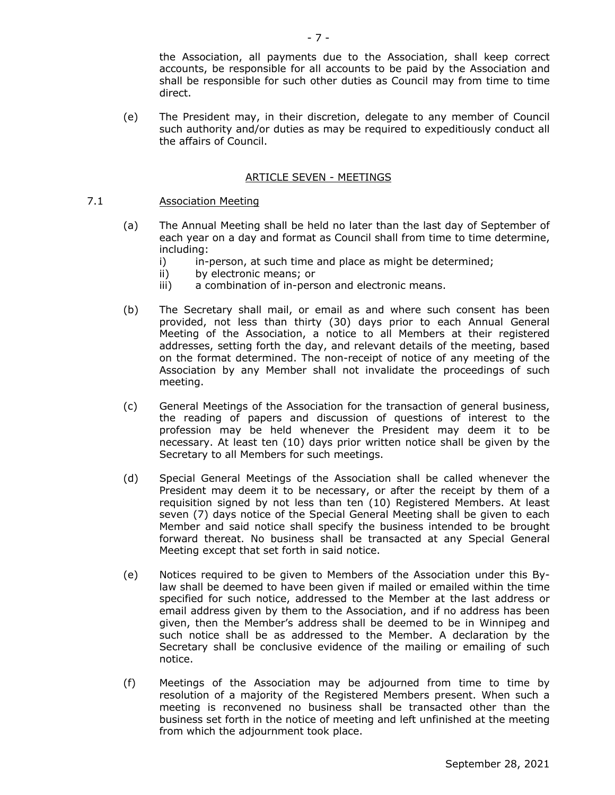the Association, all payments due to the Association, shall keep correct accounts, be responsible for all accounts to be paid by the Association and shall be responsible for such other duties as Council may from time to time direct.

(e) The President may, in their discretion, delegate to any member of Council such authority and/or duties as may be required to expeditiously conduct all the affairs of Council.

#### ARTICLE SEVEN - MEETINGS

## 7.1 Association Meeting

- (a) The Annual Meeting shall be held no later than the last day of September of each year on a day and format as Council shall from time to time determine, including:
	- i) in-person, at such time and place as might be determined;
	- ii) by electronic means; or
	- iii) a combination of in-person and electronic means.
- (b) The Secretary shall mail, or email as and where such consent has been provided, not less than thirty (30) days prior to each Annual General Meeting of the Association, a notice to all Members at their registered addresses, setting forth the day, and relevant details of the meeting, based on the format determined. The non-receipt of notice of any meeting of the Association by any Member shall not invalidate the proceedings of such meeting.
- (c) General Meetings of the Association for the transaction of general business, the reading of papers and discussion of questions of interest to the profession may be held whenever the President may deem it to be necessary. At least ten (10) days prior written notice shall be given by the Secretary to all Members for such meetings.
- (d) Special General Meetings of the Association shall be called whenever the President may deem it to be necessary, or after the receipt by them of a requisition signed by not less than ten (10) Registered Members. At least seven (7) davs notice of the Special General Meeting shall be given to each Member and said notice shall specify the business intended to be brought forward thereat. No business shall be transacted at any Special General Meeting except that set forth in said notice.
- (e) Notices required to be given to Members of the Association under this Bylaw shall be deemed to have been given if mailed or emailed within the time specified for such notice, addressed to the Member at the last address or email address given by them to the Association, and if no address has been given, then the Member's address shall be deemed to be in Winnipeg and such notice shall be as addressed to the Member. A declaration by the Secretary shall be conclusive evidence of the mailing or emailing of such notice.
- (f) Meetings of the Association may be adjourned from time to time by resolution of a majority of the Registered Members present. When such a meeting is reconvened no business shall be transacted other than the business set forth in the notice of meeting and left unfinished at the meeting from which the adjournment took place.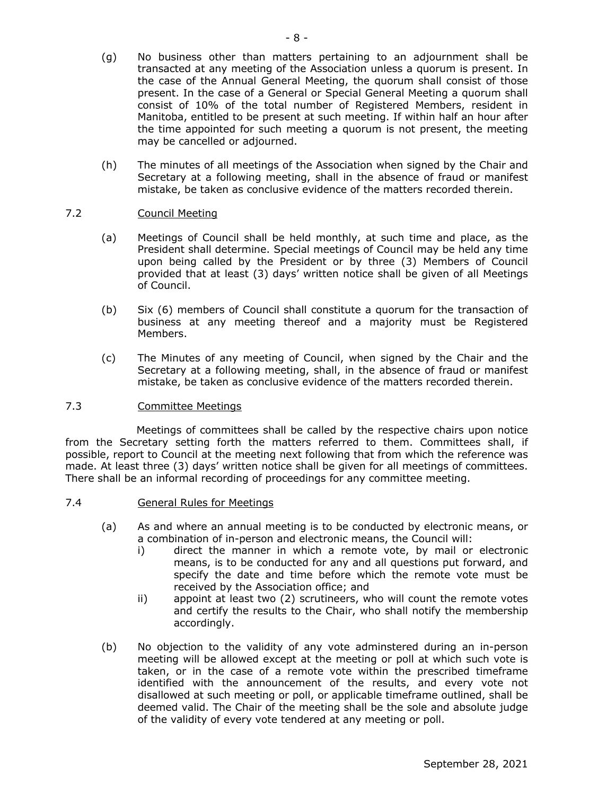- (g) No business other than matters pertaining to an adjournment shall be transacted at any meeting of the Association unless a quorum is present. In the case of the Annual General Meeting, the quorum shall consist of those present. In the case of a General or Special General Meeting a quorum shall consist of 10% of the total number of Registered Members, resident in Manitoba, entitled to be present at such meeting. If within half an hour after the time appointed for such meeting a quorum is not present, the meeting may be cancelled or adjourned.
- (h) The minutes of all meetings of the Association when signed by the Chair and Secretary at a following meeting, shall in the absence of fraud or manifest mistake, be taken as conclusive evidence of the matters recorded therein.

## 7.2 Council Meeting

- (a) Meetings of Council shall be held monthly, at such time and place, as the President shall determine. Special meetings of Council may be held any time upon being called by the President or by three (3) Members of Council provided that at least (3) days' written notice shall be given of all Meetings of Council.
- (b) Six (6) members of Council shall constitute a quorum for the transaction of business at any meeting thereof and a majority must be Registered Members.
- (c) The Minutes of any meeting of Council, when signed by the Chair and the Secretary at a following meeting, shall, in the absence of fraud or manifest mistake, be taken as conclusive evidence of the matters recorded therein.

## 7.3 Committee Meetings

Meetings of committees shall be called by the respective chairs upon notice from the Secretary setting forth the matters referred to them. Committees shall, if possible, report to Council at the meeting next following that from which the reference was made. At least three (3) days' written notice shall be given for all meetings of committees. There shall be an informal recording of proceedings for any committee meeting.

## 7.4 General Rules for Meetings

- (a) As and where an annual meeting is to be conducted by electronic means, or a combination of in-person and electronic means, the Council will:
	- i) direct the manner in which a remote vote, by mail or electronic means, is to be conducted for any and all questions put forward, and specify the date and time before which the remote vote must be received by the Association office; and
	- ii) appoint at least two (2) scrutineers, who will count the remote votes and certify the results to the Chair, who shall notify the membership accordingly.
- (b) No objection to the validity of any vote adminstered during an in-person meeting will be allowed except at the meeting or poll at which such vote is taken, or in the case of a remote vote within the prescribed timeframe identified with the announcement of the results, and every vote not disallowed at such meeting or poll, or applicable timeframe outlined, shall be deemed valid. The Chair of the meeting shall be the sole and absolute judge of the validity of every vote tendered at any meeting or poll.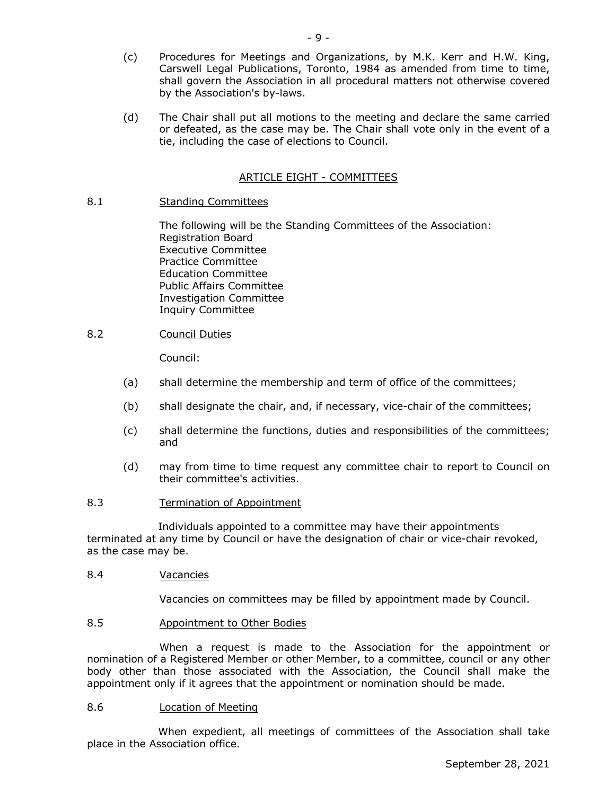- (c) Procedures for Meetings and Organizations, by M.K. Kerr and H.W. King, Carswell Legal Publications, Toronto, 1984 as amended from time to time. shall govern the Association in all procedural matters not otherwise covered by the Association's by-laws.
- (d) The Chair shall put all motions to the meeting and declare the same carried or defeated, as the case may be. The Chair shall vote only in the event of a tie, including the case of elections to Council.

## ARTICLE EIGHT - COMMITTEES

## 8.1 Standing Committees

The following will be the Standing Committees of the Association: Registration Board Executive Committee Practice Committee Education Committee Public Affairs Committee Investigation Committee Inquiry Committee

## 8.2 Council Duties

Council:

- (a) shall determine the membership and term of office of the committees;
- (b) shall designate the chair, and, if necessary, vice-chair of the committees;
- (c) shall determine the functions, duties and responsibilities of the committees; and
- (d) may from time to time request any committee chair to report to Council on their committee's activities.
- 8.3 Termination of Appointment

Individuals appointed to a committee may have their appointments terminated at any time by Council or have the designation of chair or vice-chair revoked, as the case may be.

## 8.4 Vacancies

Vacancies on committees may be filled by appointment made by Council.

## 8.5 Appointment to Other Bodies

When a request is made to the Association for the appointment or nomination of a Registered Member or other Member, to a committee, council or any other body other than those associated with the Association, the Council shall make the appointment only if it agrees that the appointment or nomination should be made.

## 8.6 Location of Meeting

When expedient, all meetings of committees of the Association shall take place in the Association office.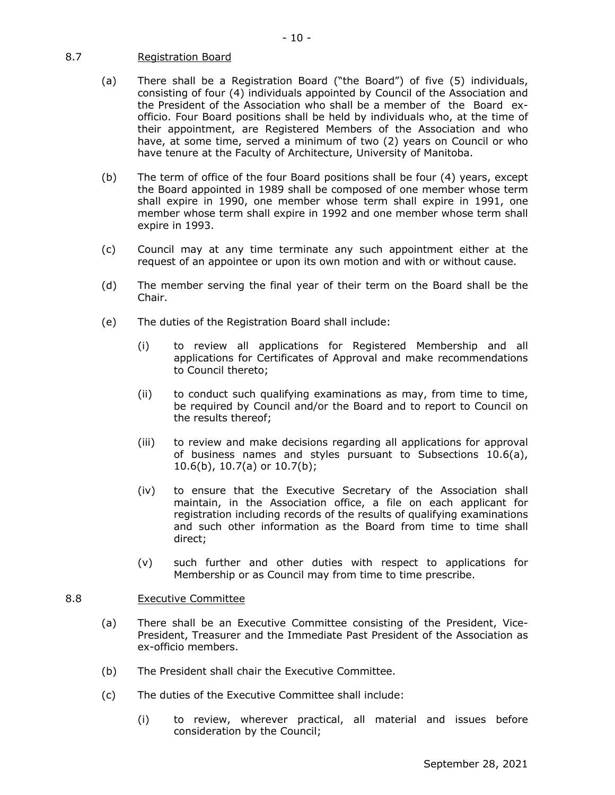## 8.7 Registration Board

- (a) There shall be a Registration Board ("the Board") of five (5) individuals, consisting of four (4) individuals appointed by Council of the Association and the President of the Association who shall be a member of the Board exofficio. Four Board positions shall be held by individuals who, at the time of their appointment, are Registered Members of the Association and who have, at some time, served a minimum of two (2) years on Council or who have tenure at the Faculty of Architecture, University of Manitoba.
- (b) The term of office of the four Board positions shall be four (4) years, except the Board appointed in 1989 shall be composed of one member whose term shall expire in 1990, one member whose term shall expire in 1991, one member whose term shall expire in 1992 and one member whose term shall expire in 1993.
- (c) Council may at any time terminate any such appointment either at the request of an appointee or upon its own motion and with or without cause.
- (d) The member serving the final year of their term on the Board shall be the Chair.
- (e) The duties of the Registration Board shall include:
	- (i) to review all applications for Registered Membership and all applications for Certificates of Approval and make recommendations to Council thereto;
	- (ii) to conduct such qualifying examinations as may, from time to time, be required by Council and/or the Board and to report to Council on the results thereof;
	- (iii) to review and make decisions regarding all applications for approval of business names and styles pursuant to Subsections 10.6(a), 10.6(b), 10.7(a) or 10.7(b);
	- (iv) to ensure that the Executive Secretary of the Association shall maintain, in the Association office, a file on each applicant for registration including records of the results of qualifying examinations and such other information as the Board from time to time shall direct;
	- (v) such further and other duties with respect to applications for Membership or as Council may from time to time prescribe.

## 8.8 Executive Committee

- (a) There shall be an Executive Committee consisting of the President, Vice-President, Treasurer and the Immediate Past President of the Association as ex-officio members.
- (b) The President shall chair the Executive Committee.
- (c) The duties of the Executive Committee shall include:
	- (i) to review, wherever practical, all material and issues before consideration by the Council;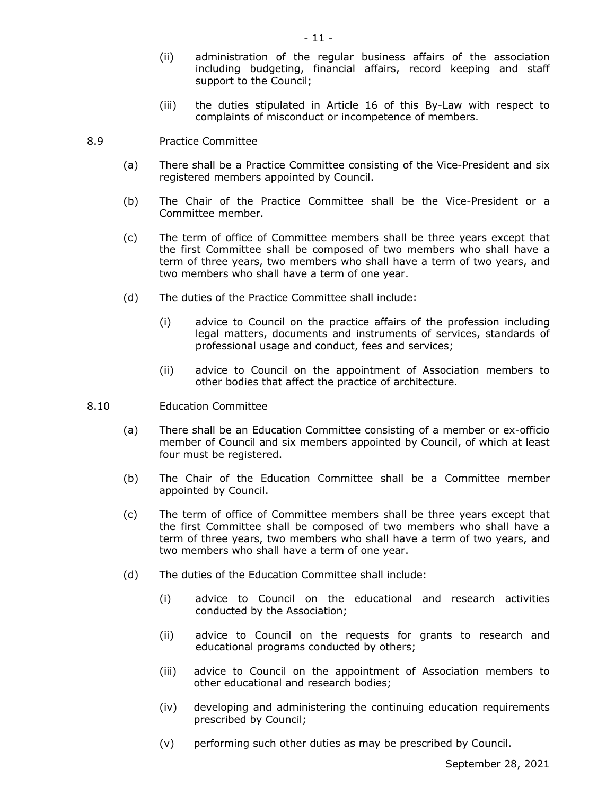- (ii) administration of the regular business affairs of the association including budgeting, financial affairs, record keeping and staff support to the Council;
- (iii) the duties stipulated in Article 16 of this By-Law with respect to complaints of misconduct or incompetence of members.

## 8.9 Practice Committee

- (a) There shall be a Practice Committee consisting of the Vice-President and six registered members appointed by Council.
- (b) The Chair of the Practice Committee shall be the Vice-President or a Committee member.
- (c) The term of office of Committee members shall be three years except that the first Committee shall be composed of two members who shall have a term of three years, two members who shall have a term of two years, and two members who shall have a term of one year.
- (d) The duties of the Practice Committee shall include:
	- (i) advice to Council on the practice affairs of the profession including legal matters, documents and instruments of services, standards of professional usage and conduct, fees and services;
	- (ii) advice to Council on the appointment of Association members to other bodies that affect the practice of architecture.

#### 8.10 Education Committee

- (a) There shall be an Education Committee consisting of a member or ex-officio member of Council and six members appointed by Council, of which at least four must be registered.
- (b) The Chair of the Education Committee shall be a Committee member appointed by Council.
- (c) The term of office of Committee members shall be three years except that the first Committee shall be composed of two members who shall have a term of three years, two members who shall have a term of two years, and two members who shall have a term of one year.
- (d) The duties of the Education Committee shall include:
	- (i) advice to Council on the educational and research activities conducted by the Association;
	- (ii) advice to Council on the requests for grants to research and educational programs conducted by others;
	- (iii) advice to Council on the appointment of Association members to other educational and research bodies;
	- (iv) developing and administering the continuing education requirements prescribed by Council;
	- (v) performing such other duties as may be prescribed by Council.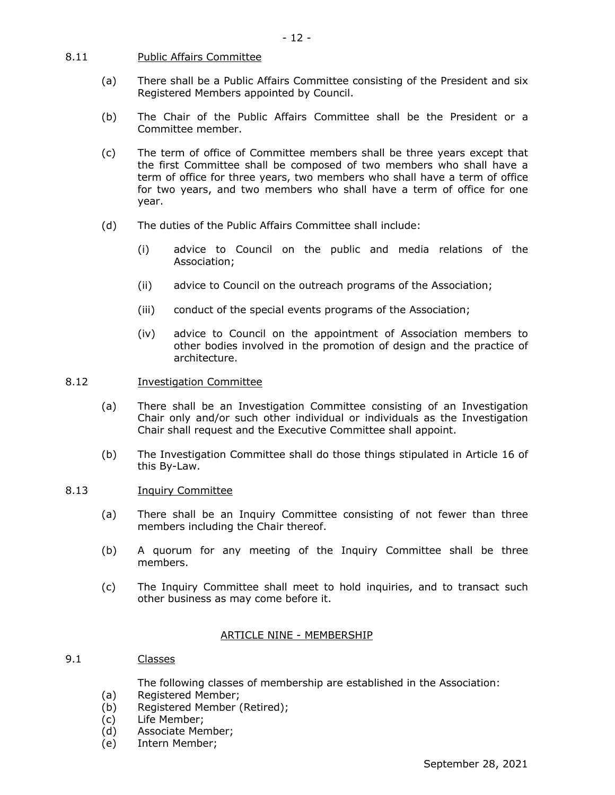#### 8.11 Public Affairs Committee

- (a) There shall be a Public Affairs Committee consisting of the President and six Registered Members appointed by Council.
- (b) The Chair of the Public Affairs Committee shall be the President or a Committee member.
- (c) The term of office of Committee members shall be three years except that the first Committee shall be composed of two members who shall have a term of office for three years, two members who shall have a term of office for two years, and two members who shall have a term of office for one year.
- (d) The duties of the Public Affairs Committee shall include:
	- (i) advice to Council on the public and media relations of the Association;
	- (ii) advice to Council on the outreach programs of the Association;
	- (iii) conduct of the special events programs of the Association;
	- (iv) advice to Council on the appointment of Association members to other bodies involved in the promotion of design and the practice of architecture.

## 8.12 Investigation Committee

- (a) There shall be an Investigation Committee consisting of an Investigation Chair only and/or such other individual or individuals as the Investigation Chair shall request and the Executive Committee shall appoint.
- (b) The Investigation Committee shall do those things stipulated in Article 16 of this By-Law.

## 8.13 Inquiry Committee

- (a) There shall be an Inquiry Committee consisting of not fewer than three members including the Chair thereof.
- (b) A quorum for any meeting of the Inquiry Committee shall be three members.
- (c) The Inquiry Committee shall meet to hold inquiries, and to transact such other business as may come before it.

## ARTICLE NINE - MEMBERSHIP

#### 9.1 Classes

The following classes of membership are established in the Association:

- (a) Registered Member;
- (b) Registered Member (Retired);
- (c) Life Member;
- (d) Associate Member;
- (e) Intern Member;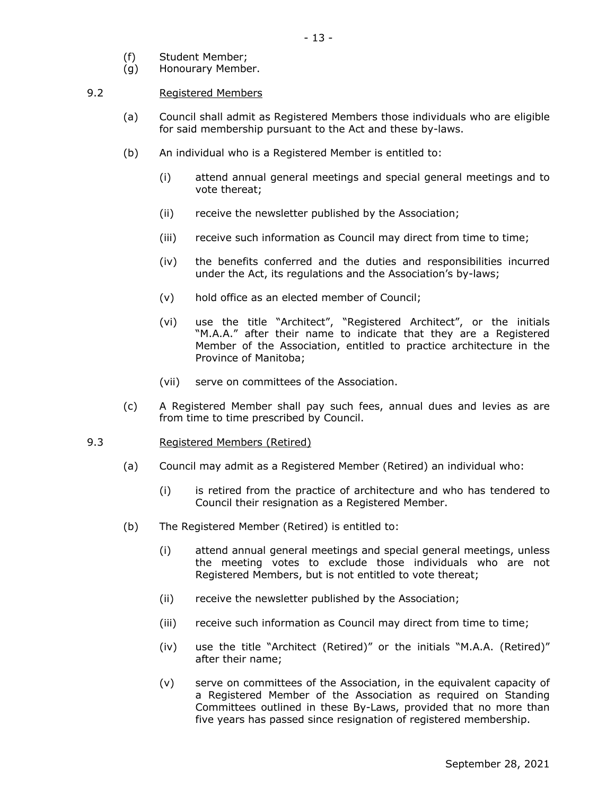- (f) Student Member;
- (g) Honourary Member.

## 9.2 Registered Members

- (a) Council shall admit as Registered Members those individuals who are eligible for said membership pursuant to the Act and these by-laws.
- (b) An individual who is a Registered Member is entitled to:
	- (i) attend annual general meetings and special general meetings and to vote thereat;
	- (ii) receive the newsletter published by the Association;
	- (iii) receive such information as Council may direct from time to time;
	- (iv) the benefits conferred and the duties and responsibilities incurred under the Act, its regulations and the Association's by-laws;
	- (v) hold office as an elected member of Council;
	- (vi) use the title "Architect", "Registered Architect", or the initials "M.A.A." after their name to indicate that they are a Registered Member of the Association, entitled to practice architecture in the Province of Manitoba;
	- (vii) serve on committees of the Association.
- (c) A Registered Member shall pay such fees, annual dues and levies as are from time to time prescribed by Council.

## 9.3 Registered Members (Retired)

- (a) Council may admit as a Registered Member (Retired) an individual who:
	- (i) is retired from the practice of architecture and who has tendered to Council their resignation as a Registered Member.
- (b) The Registered Member (Retired) is entitled to:
	- (i) attend annual general meetings and special general meetings, unless the meeting votes to exclude those individuals who are not Registered Members, but is not entitled to vote thereat;
	- (ii) receive the newsletter published by the Association;
	- (iii) receive such information as Council may direct from time to time;
	- (iv) use the title "Architect (Retired)" or the initials "M.A.A. (Retired)" after their name;
	- (v) serve on committees of the Association, in the equivalent capacity of a Registered Member of the Association as required on Standing Committees outlined in these By-Laws, provided that no more than five years has passed since resignation of registered membership.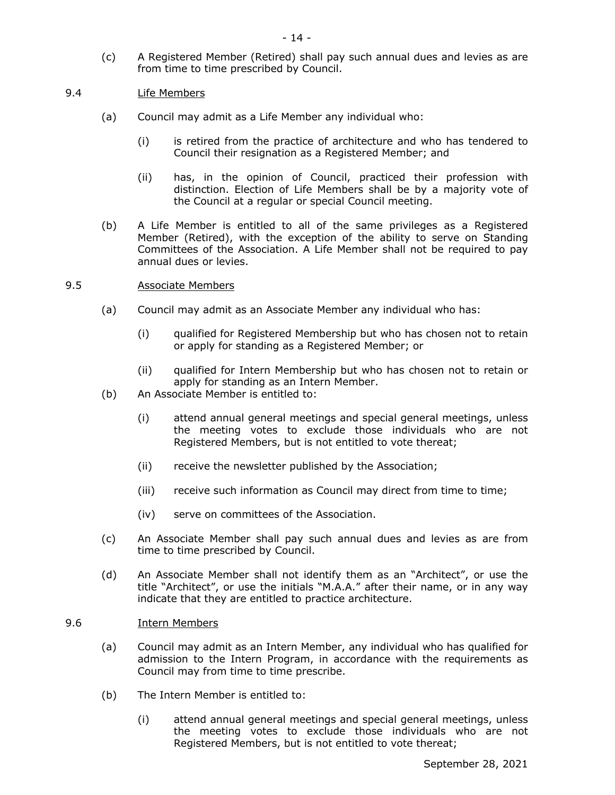(c) A Registered Member (Retired) shall pay such annual dues and levies as are from time to time prescribed by Council.

## 9.4 Life Members

- (a) Council may admit as a Life Member any individual who:
	- (i) is retired from the practice of architecture and who has tendered to Council their resignation as a Registered Member; and
	- (ii) has, in the opinion of Council, practiced their profession with distinction. Election of Life Members shall be by a majority vote of the Council at a regular or special Council meeting.
- (b) A Life Member is entitled to all of the same privileges as a Registered Member (Retired), with the exception of the ability to serve on Standing Committees of the Association. A Life Member shall not be required to pay annual dues or levies.

## 9.5 Associate Members

- (a) Council may admit as an Associate Member any individual who has:
	- (i) qualified for Registered Membership but who has chosen not to retain or apply for standing as a Registered Member; or
	- (ii) qualified for Intern Membership but who has chosen not to retain or apply for standing as an Intern Member.
- (b) An Associate Member is entitled to:
	- (i) attend annual general meetings and special general meetings, unless the meeting votes to exclude those individuals who are not Registered Members, but is not entitled to vote thereat;
	- (ii) receive the newsletter published by the Association;
	- (iii) receive such information as Council may direct from time to time;
	- (iv) serve on committees of the Association.
- (c) An Associate Member shall pay such annual dues and levies as are from time to time prescribed by Council.
- (d) An Associate Member shall not identify them as an "Architect", or use the title "Architect", or use the initials "M.A.A." after their name, or in any way indicate that they are entitled to practice architecture.

## 9.6 Intern Members

- (a) Council may admit as an Intern Member, any individual who has qualified for admission to the Intern Program, in accordance with the requirements as Council may from time to time prescribe.
- (b) The Intern Member is entitled to:
	- (i) attend annual general meetings and special general meetings, unless the meeting votes to exclude those individuals who are not Registered Members, but is not entitled to vote thereat;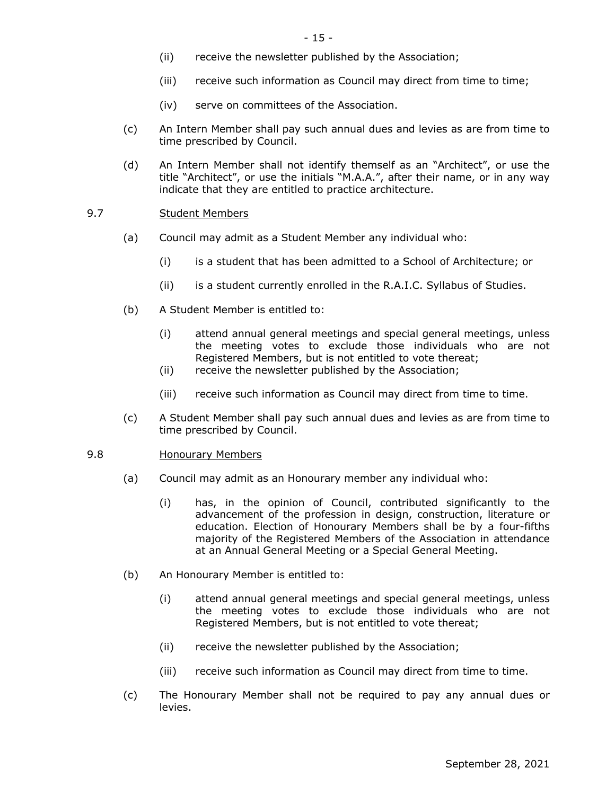- (ii) receive the newsletter published by the Association;
- (iii) receive such information as Council may direct from time to time;
- (iv) serve on committees of the Association.
- (c) An Intern Member shall pay such annual dues and levies as are from time to time prescribed by Council.
- (d) An Intern Member shall not identify themself as an "Architect", or use the title "Architect", or use the initials "M.A.A.", after their name, or in any way indicate that they are entitled to practice architecture.

## 9.7 Student Members

- (a) Council may admit as a Student Member any individual who:
	- (i) is a student that has been admitted to a School of Architecture; or
	- (ii) is a student currently enrolled in the R.A.I.C. Syllabus of Studies.
- (b) A Student Member is entitled to:
	- (i) attend annual general meetings and special general meetings, unless the meeting votes to exclude those individuals who are not Registered Members, but is not entitled to vote thereat;
	- (ii) receive the newsletter published by the Association;
	- (iii) receive such information as Council may direct from time to time.
- (c) A Student Member shall pay such annual dues and levies as are from time to time prescribed by Council.

## 9.8 Honourary Members

- (a) Council may admit as an Honourary member any individual who:
	- (i) has, in the opinion of Council, contributed significantly to the advancement of the profession in design, construction, literature or education. Election of Honourary Members shall be by a four-fifths majority of the Registered Members of the Association in attendance at an Annual General Meeting or a Special General Meeting.
- (b) An Honourary Member is entitled to:
	- (i) attend annual general meetings and special general meetings, unless the meeting votes to exclude those individuals who are not Registered Members, but is not entitled to vote thereat;
	- (ii) receive the newsletter published by the Association;
	- (iii) receive such information as Council may direct from time to time.
- (c) The Honourary Member shall not be required to pay any annual dues or levies.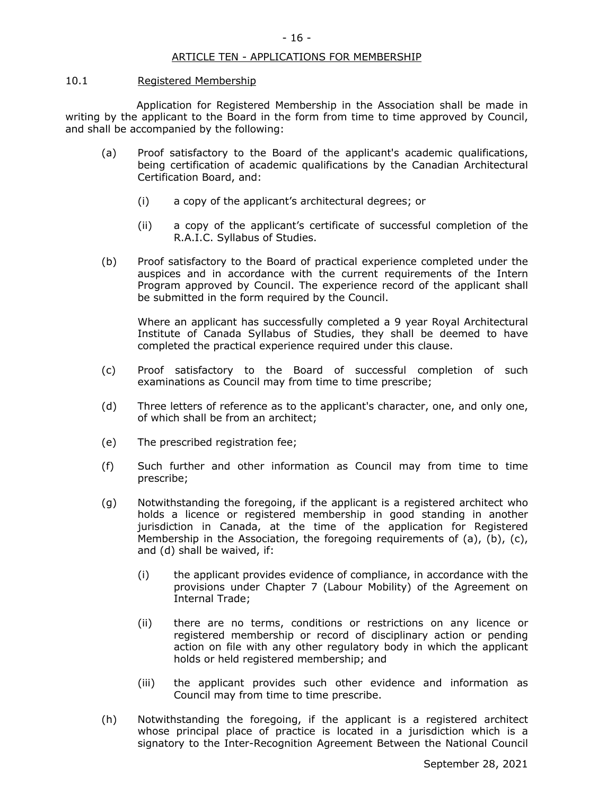#### ARTICLE TEN - APPLICATIONS FOR MEMBERSHIP

#### 10.1 Registered Membership

Application for Registered Membership in the Association shall be made in writing by the applicant to the Board in the form from time to time approved by Council, and shall be accompanied by the following:

- (a) Proof satisfactory to the Board of the applicant's academic qualifications, being certification of academic qualifications by the Canadian Architectural Certification Board, and:
	- (i) a copy of the applicant's architectural degrees; or
	- (ii) a copy of the applicant's certificate of successful completion of the R.A.I.C. Syllabus of Studies.
- (b) Proof satisfactory to the Board of practical experience completed under the auspices and in accordance with the current requirements of the Intern Program approved by Council. The experience record of the applicant shall be submitted in the form required by the Council.

Where an applicant has successfully completed a 9 year Royal Architectural Institute of Canada Syllabus of Studies, they shall be deemed to have completed the practical experience required under this clause.

- (c) Proof satisfactory to the Board of successful completion of such examinations as Council may from time to time prescribe;
- (d) Three letters of reference as to the applicant's character, one, and only one, of which shall be from an architect;
- (e) The prescribed registration fee;
- (f) Such further and other information as Council may from time to time prescribe;
- (g) Notwithstanding the foregoing, if the applicant is a registered architect who holds a licence or registered membership in good standing in another jurisdiction in Canada, at the time of the application for Registered Membership in the Association, the foregoing requirements of (a), (b), (c), and (d) shall be waived, if:
	- (i) the applicant provides evidence of compliance, in accordance with the provisions under Chapter 7 (Labour Mobility) of the Agreement on Internal Trade;
	- (ii) there are no terms, conditions or restrictions on any licence or registered membership or record of disciplinary action or pending action on file with any other regulatory body in which the applicant holds or held registered membership; and
	- (iii) the applicant provides such other evidence and information as Council may from time to time prescribe.
- (h) Notwithstanding the foregoing, if the applicant is a registered architect whose principal place of practice is located in a jurisdiction which is a signatory to the Inter-Recognition Agreement Between the National Council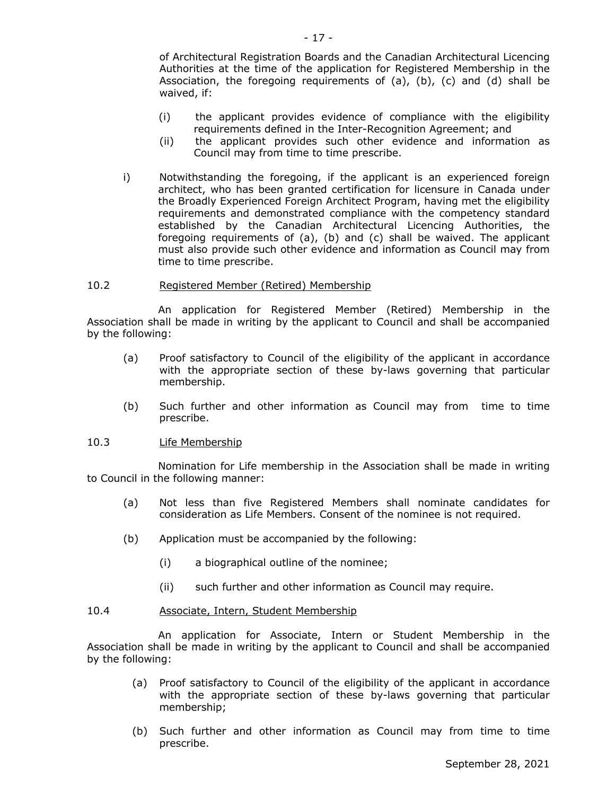of Architectural Registration Boards and the Canadian Architectural Licencing Authorities at the time of the application for Registered Membership in the Association, the foregoing requirements of  $(a)$ ,  $(b)$ ,  $(c)$  and  $(d)$  shall be waived, if:

- (i) the applicant provides evidence of compliance with the eligibility requirements defined in the Inter-Recognition Agreement; and
- (ii) the applicant provides such other evidence and information as Council may from time to time prescribe.
- i) Notwithstanding the foregoing, if the applicant is an experienced foreign architect, who has been granted certification for licensure in Canada under the Broadly Experienced Foreign Architect Program, having met the eligibility requirements and demonstrated compliance with the competency standard established by the Canadian Architectural Licencing Authorities, the foregoing requirements of (a), (b) and (c) shall be waived. The applicant must also provide such other evidence and information as Council may from time to time prescribe.

#### 10.2 Registered Member (Retired) Membership

An application for Registered Member (Retired) Membership in the Association shall be made in writing by the applicant to Council and shall be accompanied by the following:

- (a) Proof satisfactory to Council of the eligibility of the applicant in accordance with the appropriate section of these by-laws governing that particular membership.
- (b) Such further and other information as Council may from time to time prescribe.

#### 10.3 Life Membership

Nomination for Life membership in the Association shall be made in writing to Council in the following manner:

- (a) Not less than five Registered Members shall nominate candidates for consideration as Life Members. Consent of the nominee is not required.
- (b) Application must be accompanied by the following:
	- (i) a biographical outline of the nominee;
	- (ii) such further and other information as Council may require.

## 10.4 Associate, Intern, Student Membership

An application for Associate, Intern or Student Membership in the Association shall be made in writing by the applicant to Council and shall be accompanied by the following:

- (a) Proof satisfactory to Council of the eligibility of the applicant in accordance with the appropriate section of these by-laws governing that particular membership;
- (b) Such further and other information as Council may from time to time prescribe.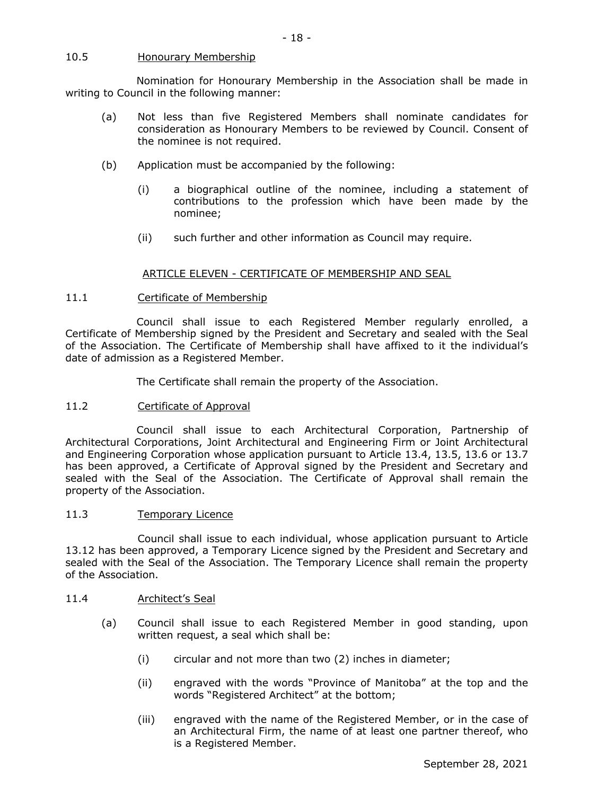#### 10.5 Honourary Membership

Nomination for Honourary Membership in the Association shall be made in writing to Council in the following manner:

- 18 -

- (a) Not less than five Registered Members shall nominate candidates for consideration as Honourary Members to be reviewed by Council. Consent of the nominee is not required.
- (b) Application must be accompanied by the following:
	- (i) a biographical outline of the nominee, including a statement of contributions to the profession which have been made by the nominee;
	- (ii) such further and other information as Council may require.

#### ARTICLE ELEVEN - CERTIFICATE OF MEMBERSHIP AND SEAL

#### 11.1 Certificate of Membership

Council shall issue to each Registered Member regularly enrolled, a Certificate of Membership signed by the President and Secretary and sealed with the Seal of the Association. The Certificate of Membership shall have affixed to it the individual's date of admission as a Registered Member.

The Certificate shall remain the property of the Association.

## 11.2 Certificate of Approval

Council shall issue to each Architectural Corporation, Partnership of Architectural Corporations, Joint Architectural and Engineering Firm or Joint Architectural and Engineering Corporation whose application pursuant to Article 13.4, 13.5, 13.6 or 13.7 has been approved, a Certificate of Approval signed by the President and Secretary and sealed with the Seal of the Association. The Certificate of Approval shall remain the property of the Association.

#### 11.3 Temporary Licence

Council shall issue to each individual, whose application pursuant to Article 13.12 has been approved, a Temporary Licence signed by the President and Secretary and sealed with the Seal of the Association. The Temporary Licence shall remain the property of the Association.

#### 11.4 Architect's Seal

- (a) Council shall issue to each Registered Member in good standing, upon written request, a seal which shall be:
	- (i) circular and not more than two (2) inches in diameter;
	- (ii) engraved with the words "Province of Manitoba" at the top and the words "Registered Architect" at the bottom;
	- (iii) engraved with the name of the Registered Member, or in the case of an Architectural Firm, the name of at least one partner thereof, who is a Registered Member.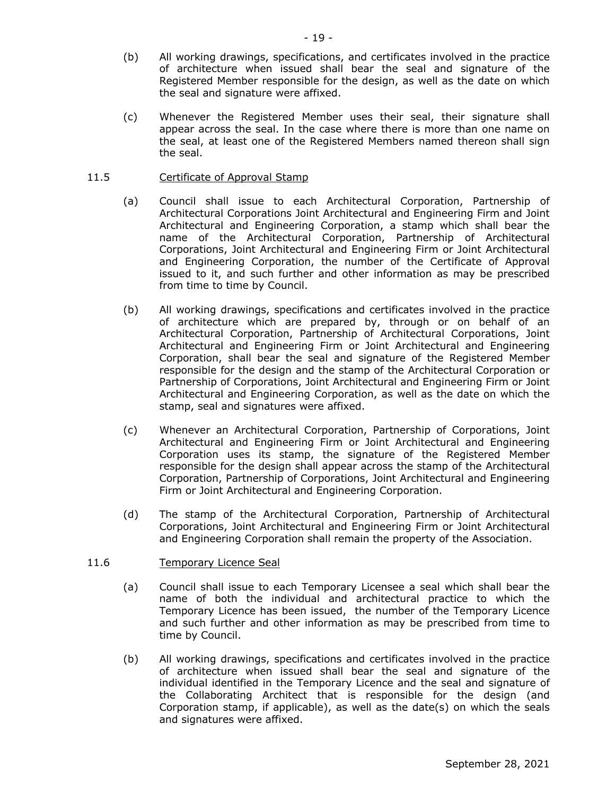- (b) All working drawings, specifications, and certificates involved in the practice of architecture when issued shall bear the seal and signature of the Registered Member responsible for the design, as well as the date on which the seal and signature were affixed.
- (c) Whenever the Registered Member uses their seal, their signature shall appear across the seal. In the case where there is more than one name on the seal, at least one of the Registered Members named thereon shall sign the seal.

## 11.5 Certificate of Approval Stamp

- (a) Council shall issue to each Architectural Corporation, Partnership of Architectural Corporations Joint Architectural and Engineering Firm and Joint Architectural and Engineering Corporation, a stamp which shall bear the name of the Architectural Corporation, Partnership of Architectural Corporations, Joint Architectural and Engineering Firm or Joint Architectural and Engineering Corporation, the number of the Certificate of Approval issued to it, and such further and other information as may be prescribed from time to time by Council.
- (b) All working drawings, specifications and certificates involved in the practice of architecture which are prepared by, through or on behalf of an Architectural Corporation, Partnership of Architectural Corporations, Joint Architectural and Engineering Firm or Joint Architectural and Engineering Corporation, shall bear the seal and signature of the Registered Member responsible for the design and the stamp of the Architectural Corporation or Partnership of Corporations, Joint Architectural and Engineering Firm or Joint Architectural and Engineering Corporation, as well as the date on which the stamp, seal and signatures were affixed.
- (c) Whenever an Architectural Corporation, Partnership of Corporations, Joint Architectural and Engineering Firm or Joint Architectural and Engineering Corporation uses its stamp, the signature of the Registered Member responsible for the design shall appear across the stamp of the Architectural Corporation, Partnership of Corporations, Joint Architectural and Engineering Firm or Joint Architectural and Engineering Corporation.
- (d) The stamp of the Architectural Corporation, Partnership of Architectural Corporations, Joint Architectural and Engineering Firm or Joint Architectural and Engineering Corporation shall remain the property of the Association.

## 11.6 Temporary Licence Seal

- (a) Council shall issue to each Temporary Licensee a seal which shall bear the name of both the individual and architectural practice to which the Temporary Licence has been issued, the number of the Temporary Licence and such further and other information as may be prescribed from time to time by Council.
- (b) All working drawings, specifications and certificates involved in the practice of architecture when issued shall bear the seal and signature of the individual identified in the Temporary Licence and the seal and signature of the Collaborating Architect that is responsible for the design (and Corporation stamp, if applicable), as well as the date(s) on which the seals and signatures were affixed.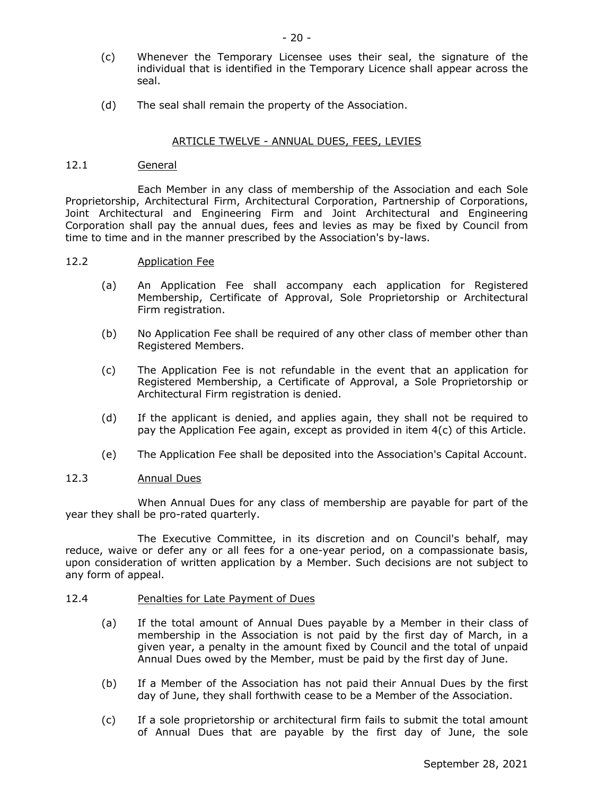- (c) Whenever the Temporary Licensee uses their seal, the signature of the individual that is identified in the Temporary Licence shall appear across the seal.
- (d) The seal shall remain the property of the Association.

## ARTICLE TWELVE - ANNUAL DUES, FEES, LEVIES

#### 12.1 General

Each Member in any class of membership of the Association and each Sole Proprietorship, Architectural Firm, Architectural Corporation, Partnership of Corporations, Joint Architectural and Engineering Firm and Joint Architectural and Engineering Corporation shall pay the annual dues, fees and levies as may be fixed by Council from time to time and in the manner prescribed by the Association's by-laws.

#### 12.2 Application Fee

- (a) An Application Fee shall accompany each application for Registered Membership, Certificate of Approval, Sole Proprietorship or Architectural Firm registration.
- (b) No Application Fee shall be required of any other class of member other than Registered Members.
- (c) The Application Fee is not refundable in the event that an application for Registered Membership, a Certificate of Approval, a Sole Proprietorship or Architectural Firm registration is denied.
- (d) If the applicant is denied, and applies again, they shall not be required to pay the Application Fee again, except as provided in item 4(c) of this Article.
- (e) The Application Fee shall be deposited into the Association's Capital Account.

#### 12.3 Annual Dues

When Annual Dues for any class of membership are payable for part of the year they shall be pro-rated quarterly.

The Executive Committee, in its discretion and on Council's behalf, may reduce, waive or defer any or all fees for a one-year period, on a compassionate basis, upon consideration of written application by a Member. Such decisions are not subject to any form of appeal.

#### 12.4 Penalties for Late Payment of Dues

- (a) If the total amount of Annual Dues payable by a Member in their class of membership in the Association is not paid by the first day of March, in a given year, a penalty in the amount fixed by Council and the total of unpaid Annual Dues owed by the Member, must be paid by the first day of June.
- (b) If a Member of the Association has not paid their Annual Dues by the first day of June, they shall forthwith cease to be a Member of the Association.
- (c) If a sole proprietorship or architectural firm fails to submit the total amount of Annual Dues that are payable by the first day of June, the sole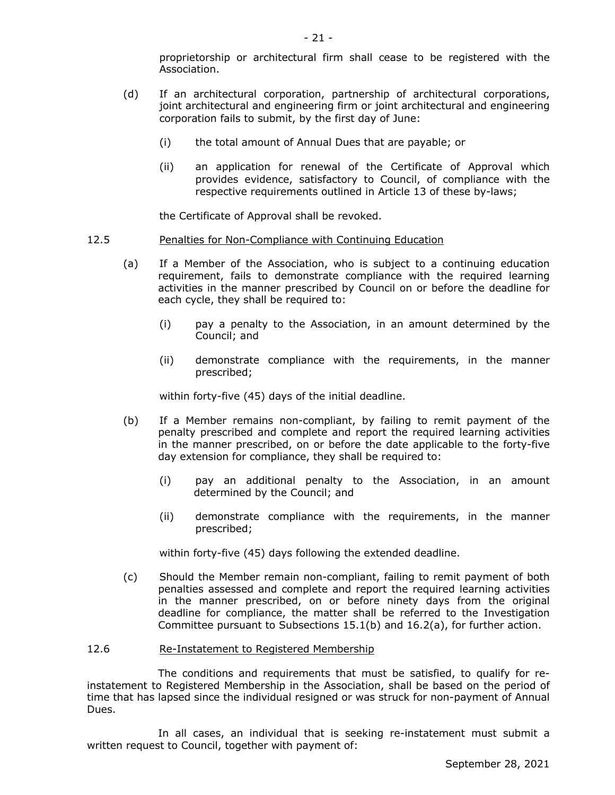proprietorship or architectural firm shall cease to be registered with the Association.

- (d) If an architectural corporation, partnership of architectural corporations, joint architectural and engineering firm or joint architectural and engineering corporation fails to submit, by the first day of June:
	- (i) the total amount of Annual Dues that are payable; or
	- (ii) an application for renewal of the Certificate of Approval which provides evidence, satisfactory to Council, of compliance with the respective requirements outlined in Article 13 of these by-laws;

the Certificate of Approval shall be revoked.

#### 12.5 Penalties for Non-Compliance with Continuing Education

- (a) If a Member of the Association, who is subject to a continuing education requirement, fails to demonstrate compliance with the required learning activities in the manner prescribed by Council on or before the deadline for each cycle, they shall be required to:
	- (i) pay a penalty to the Association, in an amount determined by the Council; and
	- (ii) demonstrate compliance with the requirements, in the manner prescribed;

within forty-five (45) days of the initial deadline.

- (b) If a Member remains non-compliant, by failing to remit payment of the penalty prescribed and complete and report the required learning activities in the manner prescribed, on or before the date applicable to the forty-five day extension for compliance, they shall be required to:
	- (i) pay an additional penalty to the Association, in an amount determined by the Council; and
	- (ii) demonstrate compliance with the requirements, in the manner prescribed;

within forty-five (45) days following the extended deadline.

(c) Should the Member remain non-compliant, failing to remit payment of both penalties assessed and complete and report the required learning activities in the manner prescribed, on or before ninety days from the original deadline for compliance, the matter shall be referred to the Investigation Committee pursuant to Subsections 15.1(b) and 16.2(a), for further action.

#### 12.6 Re-Instatement to Registered Membership

The conditions and requirements that must be satisfied, to qualify for reinstatement to Registered Membership in the Association, shall be based on the period of time that has lapsed since the individual resigned or was struck for non-payment of Annual Dues.

In all cases, an individual that is seeking re-instatement must submit a written request to Council, together with payment of: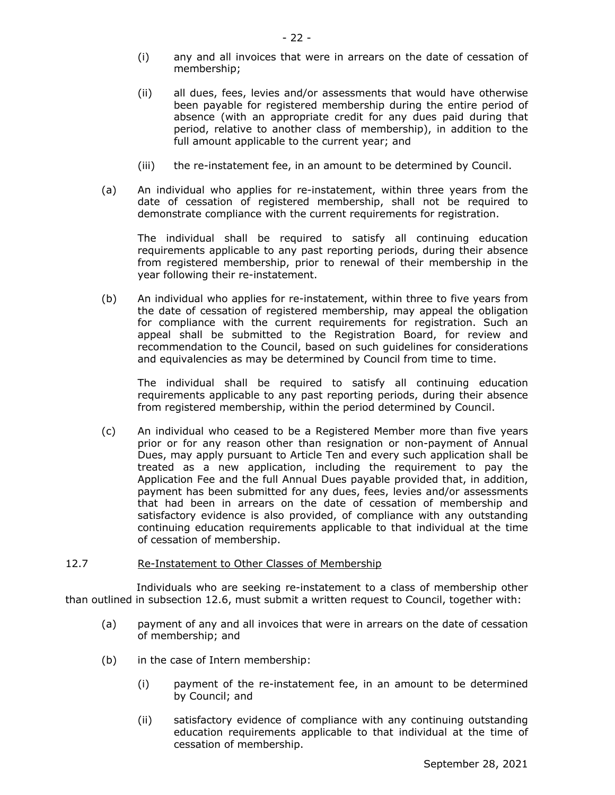- (i) any and all invoices that were in arrears on the date of cessation of membership;
- (ii) all dues, fees, levies and/or assessments that would have otherwise been payable for registered membership during the entire period of absence (with an appropriate credit for any dues paid during that period, relative to another class of membership), in addition to the full amount applicable to the current year; and
- (iii) the re-instatement fee, in an amount to be determined by Council.
- (a) An individual who applies for re-instatement, within three years from the date of cessation of registered membership, shall not be required to demonstrate compliance with the current requirements for registration.

The individual shall be required to satisfy all continuing education requirements applicable to any past reporting periods, during their absence from registered membership, prior to renewal of their membership in the year following their re-instatement.

(b) An individual who applies for re-instatement, within three to five years from the date of cessation of registered membership, may appeal the obligation for compliance with the current requirements for registration. Such an appeal shall be submitted to the Registration Board, for review and recommendation to the Council, based on such guidelines for considerations and equivalencies as may be determined by Council from time to time.

The individual shall be required to satisfy all continuing education requirements applicable to any past reporting periods, during their absence from registered membership, within the period determined by Council.

(c) An individual who ceased to be a Registered Member more than five years prior or for any reason other than resignation or non-payment of Annual Dues, may apply pursuant to Article Ten and every such application shall be treated as a new application, including the requirement to pay the Application Fee and the full Annual Dues payable provided that, in addition, payment has been submitted for any dues, fees, levies and/or assessments that had been in arrears on the date of cessation of membership and satisfactory evidence is also provided, of compliance with any outstanding continuing education requirements applicable to that individual at the time of cessation of membership.

#### 12.7 Re-Instatement to Other Classes of Membership

Individuals who are seeking re-instatement to a class of membership other than outlined in subsection 12.6, must submit a written request to Council, together with:

- (a) payment of any and all invoices that were in arrears on the date of cessation of membership; and
- (b) in the case of Intern membership:
	- (i) payment of the re-instatement fee, in an amount to be determined by Council; and
	- (ii) satisfactory evidence of compliance with any continuing outstanding education requirements applicable to that individual at the time of cessation of membership.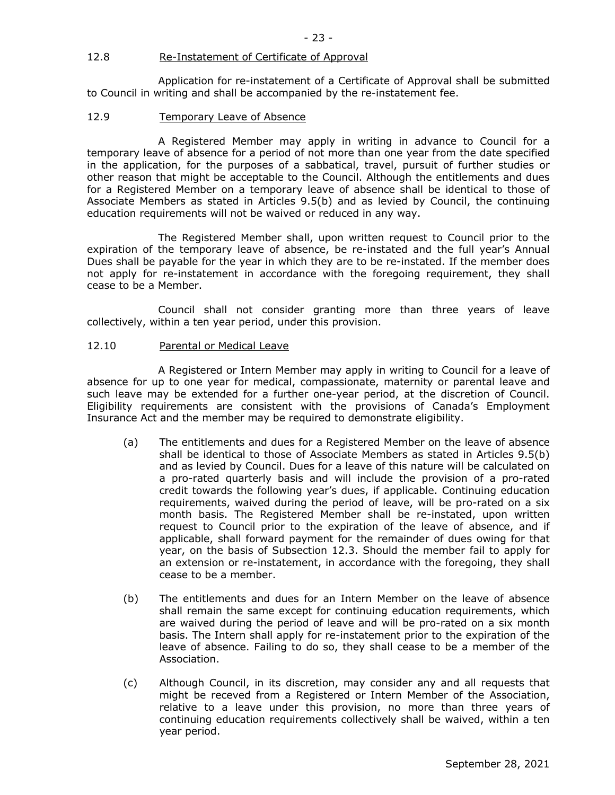#### 12.8 Re-Instatement of Certificate of Approval

Application for re-instatement of a Certificate of Approval shall be submitted to Council in writing and shall be accompanied by the re-instatement fee.

#### 12.9 Temporary Leave of Absence

A Registered Member may apply in writing in advance to Council for a temporary leave of absence for a period of not more than one year from the date specified in the application, for the purposes of a sabbatical, travel, pursuit of further studies or other reason that might be acceptable to the Council. Although the entitlements and dues for a Registered Member on a temporary leave of absence shall be identical to those of Associate Members as stated in Articles 9.5(b) and as levied by Council, the continuing education requirements will not be waived or reduced in any way.

The Registered Member shall, upon written request to Council prior to the expiration of the temporary leave of absence, be re-instated and the full year's Annual Dues shall be payable for the year in which they are to be re-instated. If the member does not apply for re-instatement in accordance with the foregoing requirement, they shall cease to be a Member.

Council shall not consider granting more than three years of leave collectively, within a ten year period, under this provision.

#### 12.10 Parental or Medical Leave

A Registered or Intern Member may apply in writing to Council for a leave of absence for up to one year for medical, compassionate, maternity or parental leave and such leave may be extended for a further one-year period, at the discretion of Council. Eligibility requirements are consistent with the provisions of Canada's Employment Insurance Act and the member may be required to demonstrate eligibility.

- (a) The entitlements and dues for a Registered Member on the leave of absence shall be identical to those of Associate Members as stated in Articles 9.5(b) and as levied by Council. Dues for a leave of this nature will be calculated on a pro-rated quarterly basis and will include the provision of a pro-rated credit towards the following year's dues, if applicable. Continuing education requirements, waived during the period of leave, will be pro-rated on a six month basis. The Registered Member shall be re-instated, upon written request to Council prior to the expiration of the leave of absence, and if applicable, shall forward payment for the remainder of dues owing for that year, on the basis of Subsection 12.3. Should the member fail to apply for an extension or re-instatement, in accordance with the foregoing, they shall cease to be a member.
- (b) The entitlements and dues for an Intern Member on the leave of absence shall remain the same except for continuing education requirements, which are waived during the period of leave and will be pro-rated on a six month basis. The Intern shall apply for re-instatement prior to the expiration of the leave of absence. Failing to do so, they shall cease to be a member of the Association.
- (c) Although Council, in its discretion, may consider any and all requests that might be receved from a Registered or Intern Member of the Association, relative to a leave under this provision, no more than three years of continuing education requirements collectively shall be waived, within a ten year period.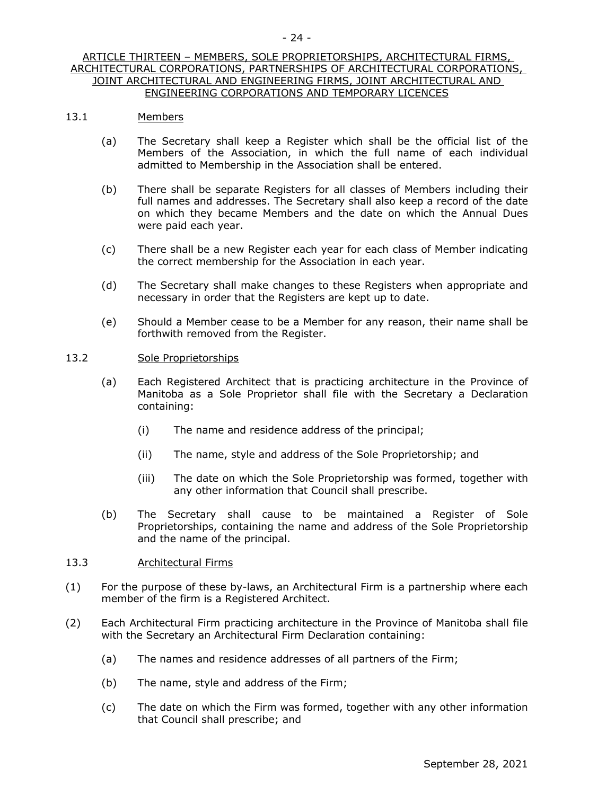## ARTICLE THIRTEEN – MEMBERS, SOLE PROPRIETORSHIPS, ARCHITECTURAL FIRMS, ARCHITECTURAL CORPORATIONS, PARTNERSHIPS OF ARCHITECTURAL CORPORATIONS, JOINT ARCHITECTURAL AND ENGINEERING FIRMS, JOINT ARCHITECTURAL AND ENGINEERING CORPORATIONS AND TEMPORARY LICENCES

## 13.1 Members

- (a) The Secretary shall keep a Register which shall be the official list of the Members of the Association, in which the full name of each individual admitted to Membership in the Association shall be entered.
- (b) There shall be separate Registers for all classes of Members including their full names and addresses. The Secretary shall also keep a record of the date on which they became Members and the date on which the Annual Dues were paid each year.
- (c) There shall be a new Register each year for each class of Member indicating the correct membership for the Association in each year.
- (d) The Secretary shall make changes to these Registers when appropriate and necessary in order that the Registers are kept up to date.
- (e) Should a Member cease to be a Member for any reason, their name shall be forthwith removed from the Register.

## 13.2 Sole Proprietorships

- (a) Each Registered Architect that is practicing architecture in the Province of Manitoba as a Sole Proprietor shall file with the Secretary a Declaration containing:
	- (i) The name and residence address of the principal;
	- (ii) The name, style and address of the Sole Proprietorship; and
	- (iii) The date on which the Sole Proprietorship was formed, together with any other information that Council shall prescribe.
- (b) The Secretary shall cause to be maintained a Register of Sole Proprietorships, containing the name and address of the Sole Proprietorship and the name of the principal.

## 13.3 Architectural Firms

- (1) For the purpose of these by-laws, an Architectural Firm is a partnership where each member of the firm is a Registered Architect.
- (2) Each Architectural Firm practicing architecture in the Province of Manitoba shall file with the Secretary an Architectural Firm Declaration containing:
	- (a) The names and residence addresses of all partners of the Firm;
	- (b) The name, style and address of the Firm;
	- (c) The date on which the Firm was formed, together with any other information that Council shall prescribe; and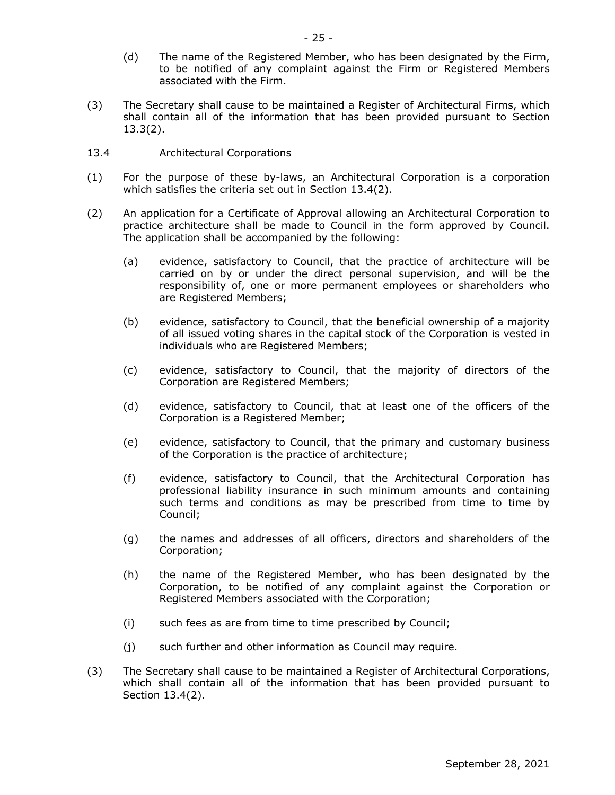- (d) The name of the Registered Member, who has been designated by the Firm, to be notified of any complaint against the Firm or Registered Members associated with the Firm.
- (3) The Secretary shall cause to be maintained a Register of Architectural Firms, which shall contain all of the information that has been provided pursuant to Section 13.3(2).
- 13.4 Architectural Corporations
- (1) For the purpose of these by-laws, an Architectural Corporation is a corporation which satisfies the criteria set out in Section 13.4(2).
- (2) An application for a Certificate of Approval allowing an Architectural Corporation to practice architecture shall be made to Council in the form approved by Council. The application shall be accompanied by the following:
	- (a) evidence, satisfactory to Council, that the practice of architecture will be carried on by or under the direct personal supervision, and will be the responsibility of, one or more permanent employees or shareholders who are Registered Members;
	- (b) evidence, satisfactory to Council, that the beneficial ownership of a majority of all issued voting shares in the capital stock of the Corporation is vested in individuals who are Registered Members;
	- (c) evidence, satisfactory to Council, that the majority of directors of the Corporation are Registered Members;
	- (d) evidence, satisfactory to Council, that at least one of the officers of the Corporation is a Registered Member;
	- (e) evidence, satisfactory to Council, that the primary and customary business of the Corporation is the practice of architecture;
	- (f) evidence, satisfactory to Council, that the Architectural Corporation has professional liability insurance in such minimum amounts and containing such terms and conditions as may be prescribed from time to time by Council;
	- (g) the names and addresses of all officers, directors and shareholders of the Corporation;
	- (h) the name of the Registered Member, who has been designated by the Corporation, to be notified of any complaint against the Corporation or Registered Members associated with the Corporation;
	- (i) such fees as are from time to time prescribed by Council;
	- (j) such further and other information as Council may require.
- (3) The Secretary shall cause to be maintained a Register of Architectural Corporations, which shall contain all of the information that has been provided pursuant to Section 13.4(2).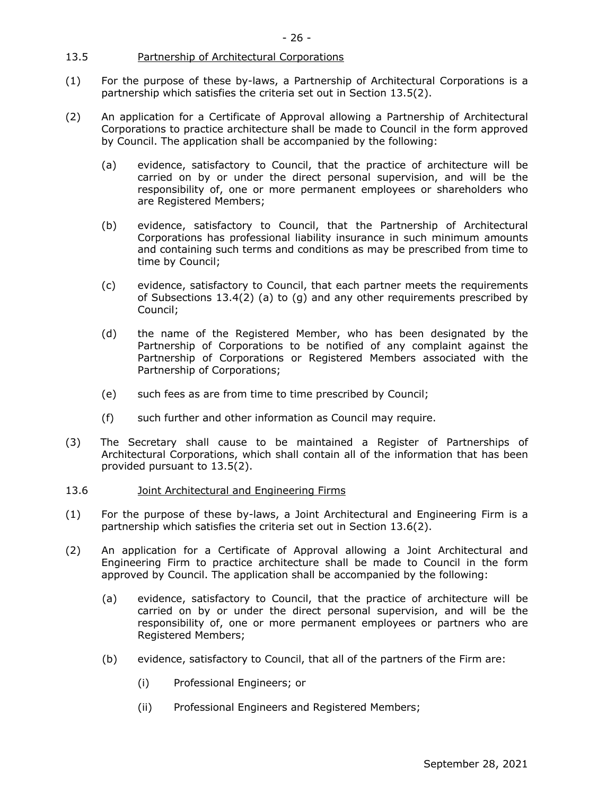## 13.5 Partnership of Architectural Corporations

- (1) For the purpose of these by-laws, a Partnership of Architectural Corporations is a partnership which satisfies the criteria set out in Section 13.5(2).
- (2) An application for a Certificate of Approval allowing a Partnership of Architectural Corporations to practice architecture shall be made to Council in the form approved by Council. The application shall be accompanied by the following:
	- (a) evidence, satisfactory to Council, that the practice of architecture will be carried on by or under the direct personal supervision, and will be the responsibility of, one or more permanent employees or shareholders who are Registered Members;
	- (b) evidence, satisfactory to Council, that the Partnership of Architectural Corporations has professional liability insurance in such minimum amounts and containing such terms and conditions as may be prescribed from time to time by Council;
	- (c) evidence, satisfactory to Council, that each partner meets the requirements of Subsections 13.4(2) (a) to (g) and any other requirements prescribed by Council;
	- (d) the name of the Registered Member, who has been designated by the Partnership of Corporations to be notified of any complaint against the Partnership of Corporations or Registered Members associated with the Partnership of Corporations;
	- (e) such fees as are from time to time prescribed by Council;
	- (f) such further and other information as Council may require.
- (3) The Secretary shall cause to be maintained a Register of Partnerships of Architectural Corporations, which shall contain all of the information that has been provided pursuant to 13.5(2).

## 13.6 Joint Architectural and Engineering Firms

- (1) For the purpose of these by-laws, a Joint Architectural and Engineering Firm is a partnership which satisfies the criteria set out in Section 13.6(2).
- (2) An application for a Certificate of Approval allowing a Joint Architectural and Engineering Firm to practice architecture shall be made to Council in the form approved by Council. The application shall be accompanied by the following:
	- (a) evidence, satisfactory to Council, that the practice of architecture will be carried on by or under the direct personal supervision, and will be the responsibility of, one or more permanent employees or partners who are Registered Members;
	- (b) evidence, satisfactory to Council, that all of the partners of the Firm are:
		- (i) Professional Engineers; or
		- (ii) Professional Engineers and Registered Members;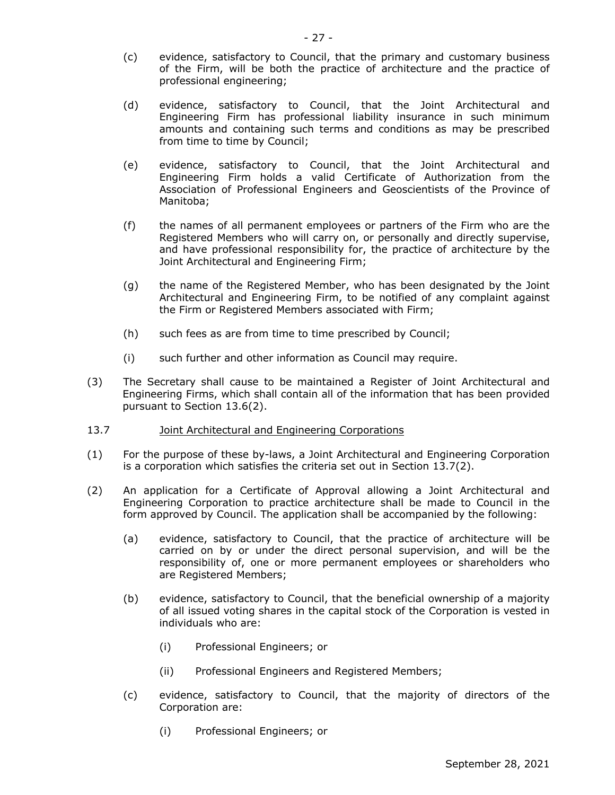- (c) evidence, satisfactory to Council, that the primary and customary business of the Firm, will be both the practice of architecture and the practice of professional engineering;
- (d) evidence, satisfactory to Council, that the Joint Architectural and Engineering Firm has professional liability insurance in such minimum amounts and containing such terms and conditions as may be prescribed from time to time by Council;
- (e) evidence, satisfactory to Council, that the Joint Architectural and Engineering Firm holds a valid Certificate of Authorization from the Association of Professional Engineers and Geoscientists of the Province of Manitoba;
- (f) the names of all permanent employees or partners of the Firm who are the Registered Members who will carry on, or personally and directly supervise, and have professional responsibility for, the practice of architecture by the Joint Architectural and Engineering Firm;
- (g) the name of the Registered Member, who has been designated by the Joint Architectural and Engineering Firm, to be notified of any complaint against the Firm or Registered Members associated with Firm;
- (h) such fees as are from time to time prescribed by Council;
- (i) such further and other information as Council may require.
- (3) The Secretary shall cause to be maintained a Register of Joint Architectural and Engineering Firms, which shall contain all of the information that has been provided pursuant to Section 13.6(2).
- 13.7 Joint Architectural and Engineering Corporations
- (1) For the purpose of these by-laws, a Joint Architectural and Engineering Corporation is a corporation which satisfies the criteria set out in Section 13.7(2).
- (2) An application for a Certificate of Approval allowing a Joint Architectural and Engineering Corporation to practice architecture shall be made to Council in the form approved by Council. The application shall be accompanied by the following:
	- (a) evidence, satisfactory to Council, that the practice of architecture will be carried on by or under the direct personal supervision, and will be the responsibility of, one or more permanent employees or shareholders who are Registered Members;
	- (b) evidence, satisfactory to Council, that the beneficial ownership of a majority of all issued voting shares in the capital stock of the Corporation is vested in individuals who are:
		- (i) Professional Engineers; or
		- (ii) Professional Engineers and Registered Members;
	- (c) evidence, satisfactory to Council, that the majority of directors of the Corporation are:
		- (i) Professional Engineers; or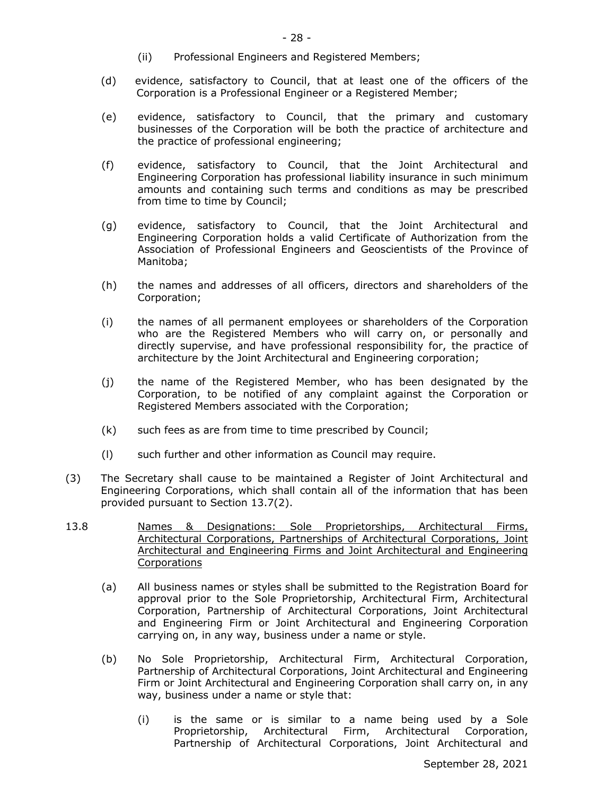- (ii) Professional Engineers and Registered Members;
- (d) evidence, satisfactory to Council, that at least one of the officers of the Corporation is a Professional Engineer or a Registered Member;
- (e) evidence, satisfactory to Council, that the primary and customary businesses of the Corporation will be both the practice of architecture and the practice of professional engineering;
- (f) evidence, satisfactory to Council, that the Joint Architectural and Engineering Corporation has professional liability insurance in such minimum amounts and containing such terms and conditions as may be prescribed from time to time by Council;
- (g) evidence, satisfactory to Council, that the Joint Architectural and Engineering Corporation holds a valid Certificate of Authorization from the Association of Professional Engineers and Geoscientists of the Province of Manitoba;
- (h) the names and addresses of all officers, directors and shareholders of the Corporation;
- (i) the names of all permanent employees or shareholders of the Corporation who are the Registered Members who will carry on, or personally and directly supervise, and have professional responsibility for, the practice of architecture by the Joint Architectural and Engineering corporation;
- (j) the name of the Registered Member, who has been designated by the Corporation, to be notified of any complaint against the Corporation or Registered Members associated with the Corporation;
- (k) such fees as are from time to time prescribed by Council;
- (l) such further and other information as Council may require.
- (3) The Secretary shall cause to be maintained a Register of Joint Architectural and Engineering Corporations, which shall contain all of the information that has been provided pursuant to Section 13.7(2).
- 13.8 Names & Designations: Sole Proprietorships, Architectural Firms, Architectural Corporations, Partnerships of Architectural Corporations, Joint Architectural and Engineering Firms and Joint Architectural and Engineering **Corporations** 
	- (a) All business names or styles shall be submitted to the Registration Board for approval prior to the Sole Proprietorship, Architectural Firm, Architectural Corporation, Partnership of Architectural Corporations, Joint Architectural and Engineering Firm or Joint Architectural and Engineering Corporation carrying on, in any way, business under a name or style.
	- (b) No Sole Proprietorship, Architectural Firm, Architectural Corporation, Partnership of Architectural Corporations, Joint Architectural and Engineering Firm or Joint Architectural and Engineering Corporation shall carry on, in any way, business under a name or style that:
		- (i) is the same or is similar to a name being used by a Sole Proprietorship, Architectural Firm, Architectural Corporation, Partnership of Architectural Corporations, Joint Architectural and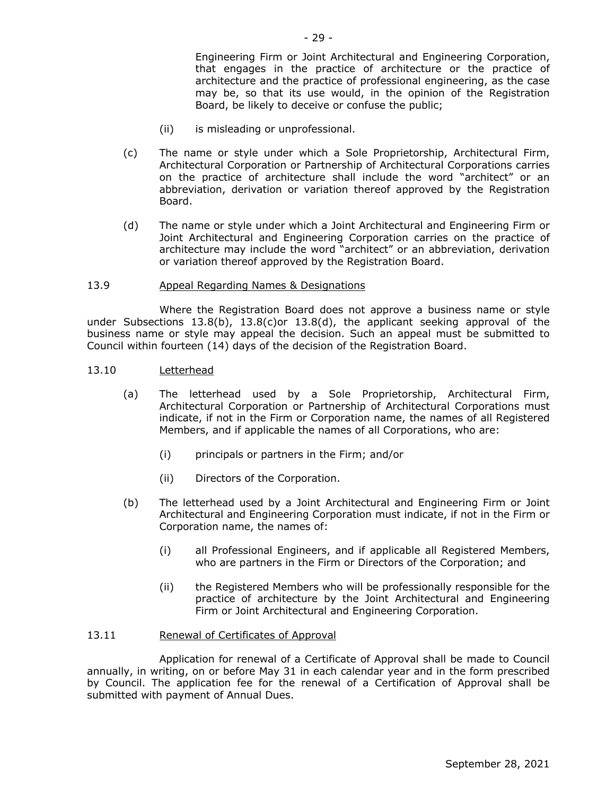Engineering Firm or Joint Architectural and Engineering Corporation, that engages in the practice of architecture or the practice of architecture and the practice of professional engineering, as the case may be, so that its use would, in the opinion of the Registration Board, be likely to deceive or confuse the public;

- (ii) is misleading or unprofessional.
- (c) The name or style under which a Sole Proprietorship, Architectural Firm, Architectural Corporation or Partnership of Architectural Corporations carries on the practice of architecture shall include the word "architect" or an abbreviation, derivation or variation thereof approved by the Registration Board.
- (d) The name or style under which a Joint Architectural and Engineering Firm or Joint Architectural and Engineering Corporation carries on the practice of architecture may include the word "architect" or an abbreviation, derivation or variation thereof approved by the Registration Board.

#### 13.9 Appeal Regarding Names & Designations

Where the Registration Board does not approve a business name or style under Subsections 13.8(b), 13.8(c)or 13.8(d), the applicant seeking approval of the business name or style may appeal the decision. Such an appeal must be submitted to Council within fourteen (14) days of the decision of the Registration Board.

## 13.10 Letterhead

- (a) The letterhead used by a Sole Proprietorship, Architectural Firm, Architectural Corporation or Partnership of Architectural Corporations must indicate, if not in the Firm or Corporation name, the names of all Registered Members, and if applicable the names of all Corporations, who are:
	- (i) principals or partners in the Firm; and/or
	- (ii) Directors of the Corporation.
- (b) The letterhead used by a Joint Architectural and Engineering Firm or Joint Architectural and Engineering Corporation must indicate, if not in the Firm or Corporation name, the names of:
	- (i) all Professional Engineers, and if applicable all Registered Members, who are partners in the Firm or Directors of the Corporation; and
	- (ii) the Registered Members who will be professionally responsible for the practice of architecture by the Joint Architectural and Engineering Firm or Joint Architectural and Engineering Corporation.

#### 13.11 Renewal of Certificates of Approval

Application for renewal of a Certificate of Approval shall be made to Council annually, in writing, on or before May 31 in each calendar year and in the form prescribed by Council. The application fee for the renewal of a Certification of Approval shall be submitted with payment of Annual Dues.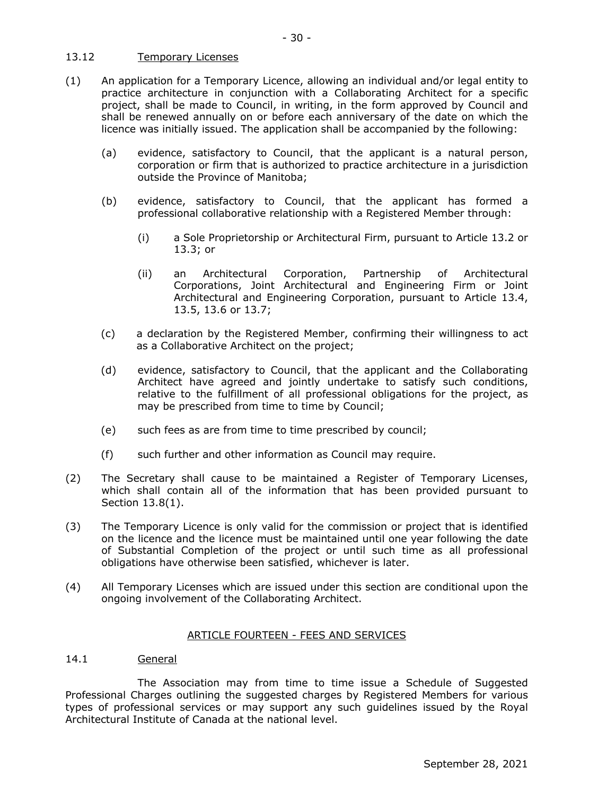## 13.12 Temporary Licenses

- (1) An application for a Temporary Licence, allowing an individual and/or legal entity to practice architecture in conjunction with a Collaborating Architect for a specific project, shall be made to Council, in writing, in the form approved by Council and shall be renewed annually on or before each anniversary of the date on which the licence was initially issued. The application shall be accompanied by the following:
	- (a) evidence, satisfactory to Council, that the applicant is a natural person, corporation or firm that is authorized to practice architecture in a jurisdiction outside the Province of Manitoba;
	- (b) evidence, satisfactory to Council, that the applicant has formed a professional collaborative relationship with a Registered Member through:
		- (i) a Sole Proprietorship or Architectural Firm, pursuant to Article 13.2 or 13.3; or
		- (ii) an Architectural Corporation, Partnership of Architectural Corporations, Joint Architectural and Engineering Firm or Joint Architectural and Engineering Corporation, pursuant to Article 13.4, 13.5, 13.6 or 13.7;
	- (c) a declaration by the Registered Member, confirming their willingness to act as a Collaborative Architect on the project;
	- (d) evidence, satisfactory to Council, that the applicant and the Collaborating Architect have agreed and jointly undertake to satisfy such conditions, relative to the fulfillment of all professional obligations for the project, as may be prescribed from time to time by Council;
	- (e) such fees as are from time to time prescribed by council;
	- (f) such further and other information as Council may require.
- (2) The Secretary shall cause to be maintained a Register of Temporary Licenses, which shall contain all of the information that has been provided pursuant to Section 13.8(1).
- (3) The Temporary Licence is only valid for the commission or project that is identified on the licence and the licence must be maintained until one year following the date of Substantial Completion of the project or until such time as all professional obligations have otherwise been satisfied, whichever is later.
- (4) All Temporary Licenses which are issued under this section are conditional upon the ongoing involvement of the Collaborating Architect.

## ARTICLE FOURTEEN - FEES AND SERVICES

## 14.1 General

The Association may from time to time issue a Schedule of Suggested Professional Charges outlining the suggested charges by Registered Members for various types of professional services or may support any such guidelines issued by the Royal Architectural Institute of Canada at the national level.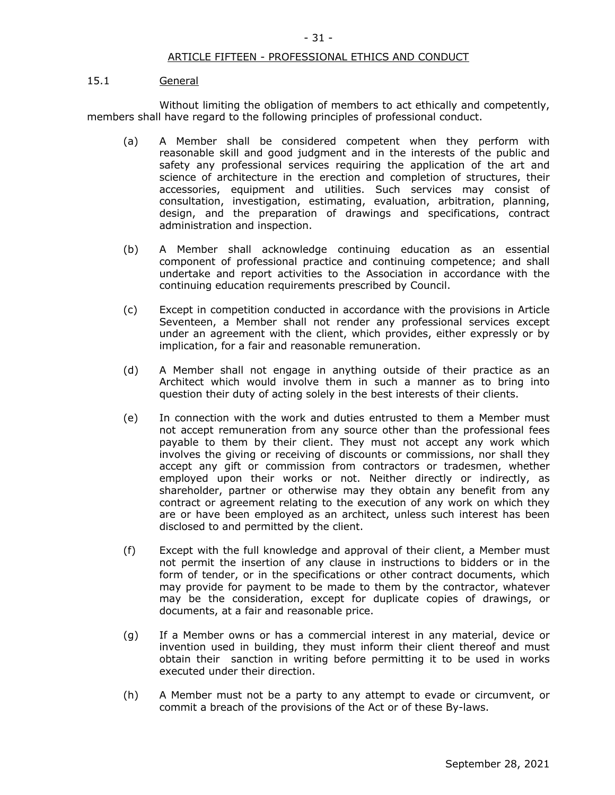## ARTICLE FIFTEEN - PROFESSIONAL ETHICS AND CONDUCT

#### 15.1 General

Without limiting the obligation of members to act ethically and competently, members shall have regard to the following principles of professional conduct.

- (a) A Member shall be considered competent when they perform with reasonable skill and good judgment and in the interests of the public and safety any professional services requiring the application of the art and science of architecture in the erection and completion of structures, their accessories, equipment and utilities. Such services may consist of consultation, investigation, estimating, evaluation, arbitration, planning, design, and the preparation of drawings and specifications, contract administration and inspection.
- (b) A Member shall acknowledge continuing education as an essential component of professional practice and continuing competence; and shall undertake and report activities to the Association in accordance with the continuing education requirements prescribed by Council.
- (c) Except in competition conducted in accordance with the provisions in Article Seventeen, a Member shall not render any professional services except under an agreement with the client, which provides, either expressly or by implication, for a fair and reasonable remuneration.
- (d) A Member shall not engage in anything outside of their practice as an Architect which would involve them in such a manner as to bring into question their duty of acting solely in the best interests of their clients.
- (e) In connection with the work and duties entrusted to them a Member must not accept remuneration from any source other than the professional fees payable to them by their client. They must not accept any work which involves the giving or receiving of discounts or commissions, nor shall they accept any gift or commission from contractors or tradesmen, whether employed upon their works or not. Neither directly or indirectly, as shareholder, partner or otherwise may they obtain any benefit from any contract or agreement relating to the execution of any work on which they are or have been employed as an architect, unless such interest has been disclosed to and permitted by the client.
- (f) Except with the full knowledge and approval of their client, a Member must not permit the insertion of any clause in instructions to bidders or in the form of tender, or in the specifications or other contract documents, which may provide for payment to be made to them by the contractor, whatever may be the consideration, except for duplicate copies of drawings, or documents, at a fair and reasonable price.
- (g) If a Member owns or has a commercial interest in any material, device or invention used in building, they must inform their client thereof and must obtain their sanction in writing before permitting it to be used in works executed under their direction.
- (h) A Member must not be a party to any attempt to evade or circumvent, or commit a breach of the provisions of the Act or of these By-laws.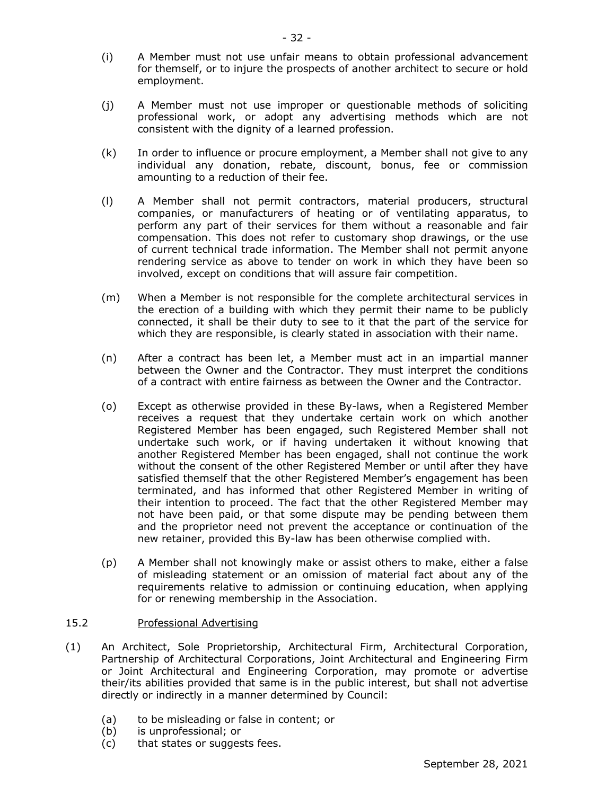- (i) A Member must not use unfair means to obtain professional advancement for themself, or to injure the prospects of another architect to secure or hold employment.
- (j) A Member must not use improper or questionable methods of soliciting professional work, or adopt any advertising methods which are not consistent with the dignity of a learned profession.
- (k) In order to influence or procure employment, a Member shall not give to any individual any donation, rebate, discount, bonus, fee or commission amounting to a reduction of their fee.
- (l) A Member shall not permit contractors, material producers, structural companies, or manufacturers of heating or of ventilating apparatus, to perform any part of their services for them without a reasonable and fair compensation. This does not refer to customary shop drawings, or the use of current technical trade information. The Member shall not permit anyone rendering service as above to tender on work in which they have been so involved, except on conditions that will assure fair competition.
- (m) When a Member is not responsible for the complete architectural services in the erection of a building with which they permit their name to be publicly connected, it shall be their duty to see to it that the part of the service for which they are responsible, is clearly stated in association with their name.
- (n) After a contract has been let, a Member must act in an impartial manner between the Owner and the Contractor. They must interpret the conditions of a contract with entire fairness as between the Owner and the Contractor.
- (o) Except as otherwise provided in these By-laws, when a Registered Member receives a request that they undertake certain work on which another Registered Member has been engaged, such Registered Member shall not undertake such work, or if having undertaken it without knowing that another Registered Member has been engaged, shall not continue the work without the consent of the other Registered Member or until after they have satisfied themself that the other Registered Member's engagement has been terminated, and has informed that other Registered Member in writing of their intention to proceed. The fact that the other Registered Member may not have been paid, or that some dispute may be pending between them and the proprietor need not prevent the acceptance or continuation of the new retainer, provided this By-law has been otherwise complied with.
- (p) A Member shall not knowingly make or assist others to make, either a false of misleading statement or an omission of material fact about any of the requirements relative to admission or continuing education, when applying for or renewing membership in the Association.

## 15.2 Professional Advertising

- (1) An Architect, Sole Proprietorship, Architectural Firm, Architectural Corporation, Partnership of Architectural Corporations, Joint Architectural and Engineering Firm or Joint Architectural and Engineering Corporation, may promote or advertise their/its abilities provided that same is in the public interest, but shall not advertise directly or indirectly in a manner determined by Council:
	- (a) to be misleading or false in content; or
	- (b) is unprofessional; or
	- (c) that states or suggests fees.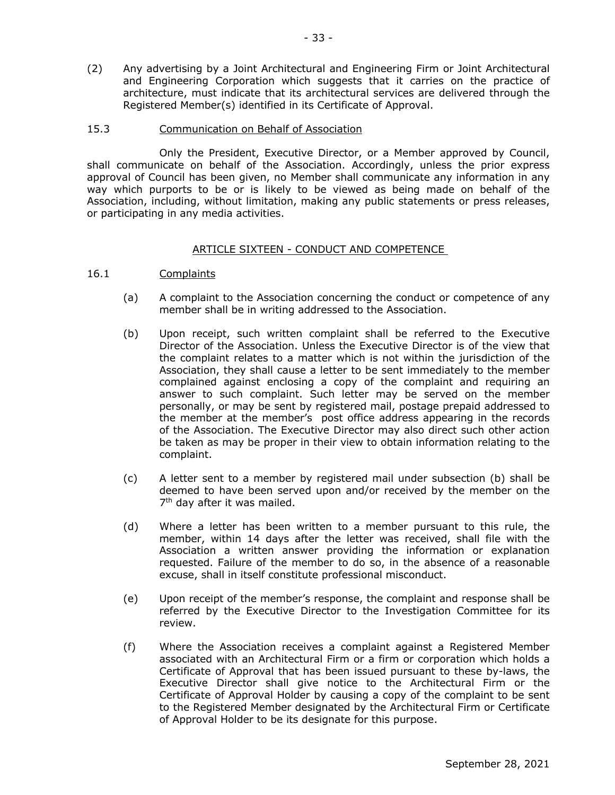(2) Any advertising by a Joint Architectural and Engineering Firm or Joint Architectural and Engineering Corporation which suggests that it carries on the practice of architecture, must indicate that its architectural services are delivered through the Registered Member(s) identified in its Certificate of Approval.

#### 15.3 Communication on Behalf of Association

Only the President, Executive Director, or a Member approved by Council, shall communicate on behalf of the Association. Accordingly, unless the prior express approval of Council has been given, no Member shall communicate any information in any way which purports to be or is likely to be viewed as being made on behalf of the Association, including, without limitation, making any public statements or press releases, or participating in any media activities.

#### ARTICLE SIXTEEN - CONDUCT AND COMPETENCE

- 16.1 Complaints
	- (a) A complaint to the Association concerning the conduct or competence of any member shall be in writing addressed to the Association.
	- (b) Upon receipt, such written complaint shall be referred to the Executive Director of the Association. Unless the Executive Director is of the view that the complaint relates to a matter which is not within the jurisdiction of the Association, they shall cause a letter to be sent immediately to the member complained against enclosing a copy of the complaint and requiring an answer to such complaint. Such letter may be served on the member personally, or may be sent by registered mail, postage prepaid addressed to the member at the member's post office address appearing in the records of the Association. The Executive Director may also direct such other action be taken as may be proper in their view to obtain information relating to the complaint.
	- (c) A letter sent to a member by registered mail under subsection (b) shall be deemed to have been served upon and/or received by the member on the 7<sup>th</sup> day after it was mailed.
	- (d) Where a letter has been written to a member pursuant to this rule, the member, within 14 days after the letter was received, shall file with the Association a written answer providing the information or explanation requested. Failure of the member to do so, in the absence of a reasonable excuse, shall in itself constitute professional misconduct.
	- (e) Upon receipt of the member's response, the complaint and response shall be referred by the Executive Director to the Investigation Committee for its review.
	- (f) Where the Association receives a complaint against a Registered Member associated with an Architectural Firm or a firm or corporation which holds a Certificate of Approval that has been issued pursuant to these by-laws, the Executive Director shall give notice to the Architectural Firm or the Certificate of Approval Holder by causing a copy of the complaint to be sent to the Registered Member designated by the Architectural Firm or Certificate of Approval Holder to be its designate for this purpose.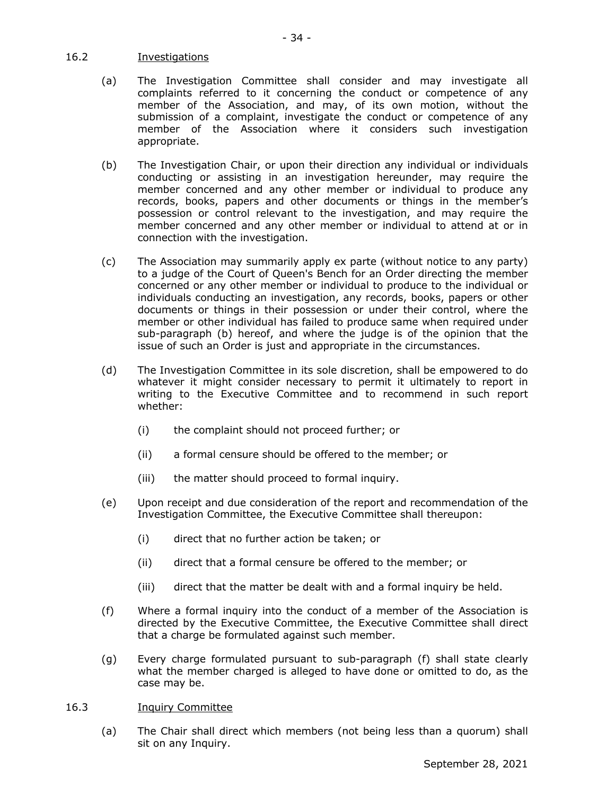## 16.2 Investigations

- (a) The Investigation Committee shall consider and may investigate all complaints referred to it concerning the conduct or competence of any member of the Association, and may, of its own motion, without the submission of a complaint, investigate the conduct or competence of any member of the Association where it considers such investigation appropriate.
- (b) The Investigation Chair, or upon their direction any individual or individuals conducting or assisting in an investigation hereunder, may require the member concerned and any other member or individual to produce any records, books, papers and other documents or things in the member's possession or control relevant to the investigation, and may require the member concerned and any other member or individual to attend at or in connection with the investigation.
- (c) The Association may summarily apply ex parte (without notice to any party) to a judge of the Court of Queen's Bench for an Order directing the member concerned or any other member or individual to produce to the individual or individuals conducting an investigation, any records, books, papers or other documents or things in their possession or under their control, where the member or other individual has failed to produce same when required under sub-paragraph (b) hereof, and where the judge is of the opinion that the issue of such an Order is just and appropriate in the circumstances.
- (d) The Investigation Committee in its sole discretion, shall be empowered to do whatever it might consider necessary to permit it ultimately to report in writing to the Executive Committee and to recommend in such report whether:
	- (i) the complaint should not proceed further; or
	- (ii) a formal censure should be offered to the member; or
	- (iii) the matter should proceed to formal inquiry.
- (e) Upon receipt and due consideration of the report and recommendation of the Investigation Committee, the Executive Committee shall thereupon:
	- (i) direct that no further action be taken; or
	- (ii) direct that a formal censure be offered to the member; or
	- (iii) direct that the matter be dealt with and a formal inquiry be held.
- (f) Where a formal inquiry into the conduct of a member of the Association is directed by the Executive Committee, the Executive Committee shall direct that a charge be formulated against such member.
- (g) Every charge formulated pursuant to sub-paragraph (f) shall state clearly what the member charged is alleged to have done or omitted to do, as the case may be.

## 16.3 Inquiry Committee

(a) The Chair shall direct which members (not being less than a quorum) shall sit on any Inquiry.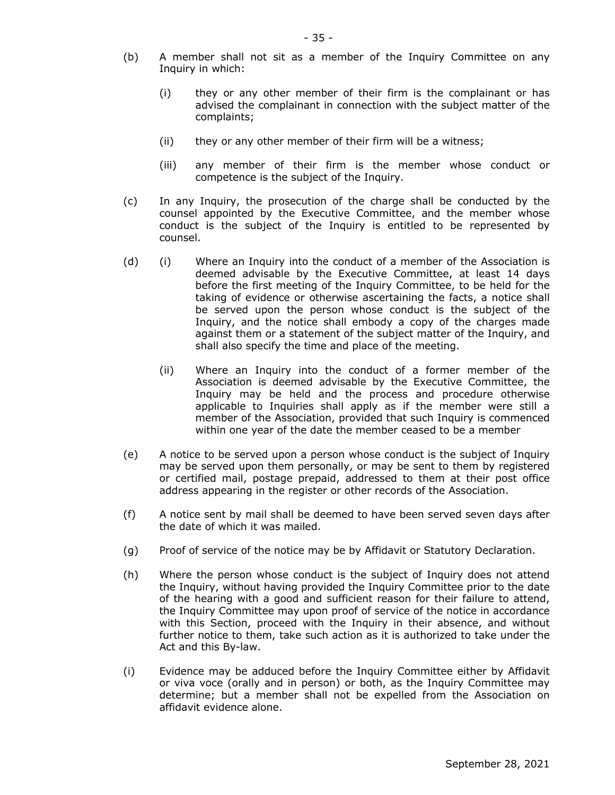- (b) A member shall not sit as a member of the Inquiry Committee on any Inquiry in which:
	- (i) they or any other member of their firm is the complainant or has advised the complainant in connection with the subject matter of the complaints;
	- (ii) they or any other member of their firm will be a witness;
	- (iii) any member of their firm is the member whose conduct or competence is the subject of the Inquiry.
- (c) In any Inquiry, the prosecution of the charge shall be conducted by the counsel appointed by the Executive Committee, and the member whose conduct is the subject of the Inquiry is entitled to be represented by counsel.
- (d) (i) Where an Inquiry into the conduct of a member of the Association is deemed advisable by the Executive Committee, at least 14 days before the first meeting of the Inquiry Committee, to be held for the taking of evidence or otherwise ascertaining the facts, a notice shall be served upon the person whose conduct is the subject of the Inquiry, and the notice shall embody a copy of the charges made against them or a statement of the subject matter of the Inquiry, and shall also specify the time and place of the meeting.
	- (ii) Where an Inquiry into the conduct of a former member of the Association is deemed advisable by the Executive Committee, the Inquiry may be held and the process and procedure otherwise applicable to Inquiries shall apply as if the member were still a member of the Association, provided that such Inquiry is commenced within one year of the date the member ceased to be a member
- (e) A notice to be served upon a person whose conduct is the subject of Inquiry may be served upon them personally, or may be sent to them by registered or certified mail, postage prepaid, addressed to them at their post office address appearing in the register or other records of the Association.
- (f) A notice sent by mail shall be deemed to have been served seven days after the date of which it was mailed.
- (g) Proof of service of the notice may be by Affidavit or Statutory Declaration.
- (h) Where the person whose conduct is the subject of Inquiry does not attend the Inquiry, without having provided the Inquiry Committee prior to the date of the hearing with a good and sufficient reason for their failure to attend, the Inquiry Committee may upon proof of service of the notice in accordance with this Section, proceed with the Inquiry in their absence, and without further notice to them, take such action as it is authorized to take under the Act and this By-law.
- (i) Evidence may be adduced before the Inquiry Committee either by Affidavit or viva voce (orally and in person) or both, as the Inquiry Committee may determine; but a member shall not be expelled from the Association on affidavit evidence alone.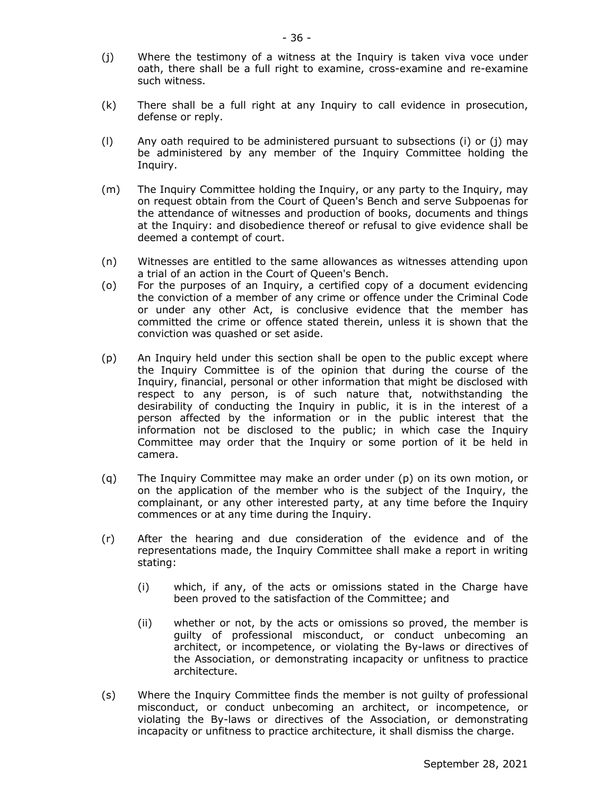- (j) Where the testimony of a witness at the Inquiry is taken viva voce under oath, there shall be a full right to examine, cross-examine and re-examine such witness.
- (k) There shall be a full right at any Inquiry to call evidence in prosecution, defense or reply.
- (l) Any oath required to be administered pursuant to subsections (i) or (j) may be administered by any member of the Inquiry Committee holding the Inquiry.
- (m) The Inquiry Committee holding the Inquiry, or any party to the Inquiry, may on request obtain from the Court of Queen's Bench and serve Subpoenas for the attendance of witnesses and production of books, documents and things at the Inquiry: and disobedience thereof or refusal to give evidence shall be deemed a contempt of court.
- (n) Witnesses are entitled to the same allowances as witnesses attending upon a trial of an action in the Court of Queen's Bench.
- (o) For the purposes of an Inquiry, a certified copy of a document evidencing the conviction of a member of any crime or offence under the Criminal Code or under any other Act, is conclusive evidence that the member has committed the crime or offence stated therein, unless it is shown that the conviction was quashed or set aside.
- (p) An Inquiry held under this section shall be open to the public except where the Inquiry Committee is of the opinion that during the course of the Inquiry, financial, personal or other information that might be disclosed with respect to any person, is of such nature that, notwithstanding the desirability of conducting the Inquiry in public, it is in the interest of a person affected by the information or in the public interest that the information not be disclosed to the public; in which case the Inquiry Committee may order that the Inquiry or some portion of it be held in camera.
- (q) The Inquiry Committee may make an order under (p) on its own motion, or on the application of the member who is the subject of the Inquiry, the complainant, or any other interested party, at any time before the Inquiry commences or at any time during the Inquiry.
- (r) After the hearing and due consideration of the evidence and of the representations made, the Inquiry Committee shall make a report in writing stating:
	- (i) which, if any, of the acts or omissions stated in the Charge have been proved to the satisfaction of the Committee; and
	- (ii) whether or not, by the acts or omissions so proved, the member is guilty of professional misconduct, or conduct unbecoming an architect, or incompetence, or violating the By-laws or directives of the Association, or demonstrating incapacity or unfitness to practice architecture.
- (s) Where the Inquiry Committee finds the member is not guilty of professional misconduct, or conduct unbecoming an architect, or incompetence, or violating the By-laws or directives of the Association, or demonstrating incapacity or unfitness to practice architecture, it shall dismiss the charge.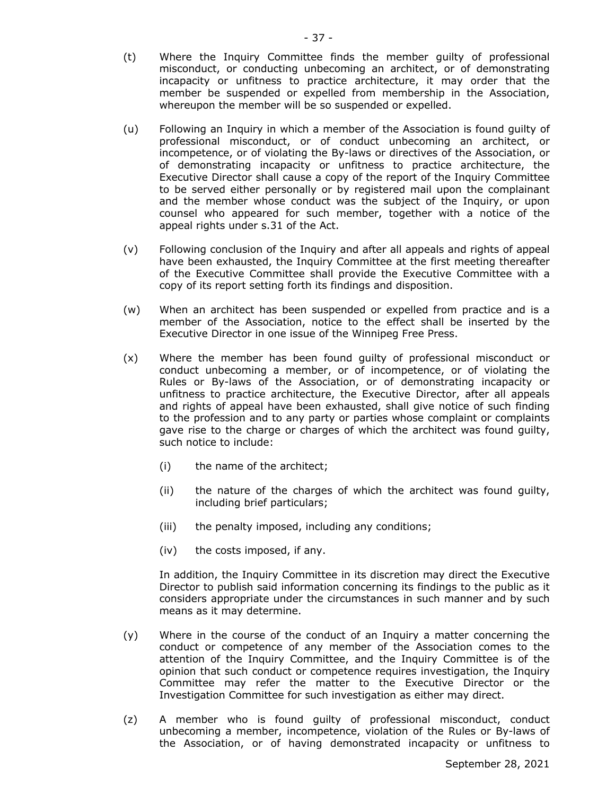- (t) Where the Inquiry Committee finds the member guilty of professional misconduct, or conducting unbecoming an architect, or of demonstrating incapacity or unfitness to practice architecture, it may order that the member be suspended or expelled from membership in the Association, whereupon the member will be so suspended or expelled.
- (u) Following an Inquiry in which a member of the Association is found guilty of professional misconduct, or of conduct unbecoming an architect, or incompetence, or of violating the By-laws or directives of the Association, or of demonstrating incapacity or unfitness to practice architecture, the Executive Director shall cause a copy of the report of the Inquiry Committee to be served either personally or by registered mail upon the complainant and the member whose conduct was the subject of the Inquiry, or upon counsel who appeared for such member, together with a notice of the appeal rights under s.31 of the Act.
- (v) Following conclusion of the Inquiry and after all appeals and rights of appeal have been exhausted, the Inquiry Committee at the first meeting thereafter of the Executive Committee shall provide the Executive Committee with a copy of its report setting forth its findings and disposition.
- (w) When an architect has been suspended or expelled from practice and is a member of the Association, notice to the effect shall be inserted by the Executive Director in one issue of the Winnipeg Free Press.
- (x) Where the member has been found guilty of professional misconduct or conduct unbecoming a member, or of incompetence, or of violating the Rules or By-laws of the Association, or of demonstrating incapacity or unfitness to practice architecture, the Executive Director, after all appeals and rights of appeal have been exhausted, shall give notice of such finding to the profession and to any party or parties whose complaint or complaints gave rise to the charge or charges of which the architect was found guilty, such notice to include:
	- (i) the name of the architect;
	- (ii) the nature of the charges of which the architect was found guilty, including brief particulars;
	- (iii) the penalty imposed, including any conditions;
	- (iv) the costs imposed, if any.

In addition, the Inquiry Committee in its discretion may direct the Executive Director to publish said information concerning its findings to the public as it considers appropriate under the circumstances in such manner and by such means as it may determine.

- (y) Where in the course of the conduct of an Inquiry a matter concerning the conduct or competence of any member of the Association comes to the attention of the Inquiry Committee, and the Inquiry Committee is of the opinion that such conduct or competence requires investigation, the Inquiry Committee may refer the matter to the Executive Director or the Investigation Committee for such investigation as either may direct.
- (z) A member who is found guilty of professional misconduct, conduct unbecoming a member, incompetence, violation of the Rules or By-laws of the Association, or of having demonstrated incapacity or unfitness to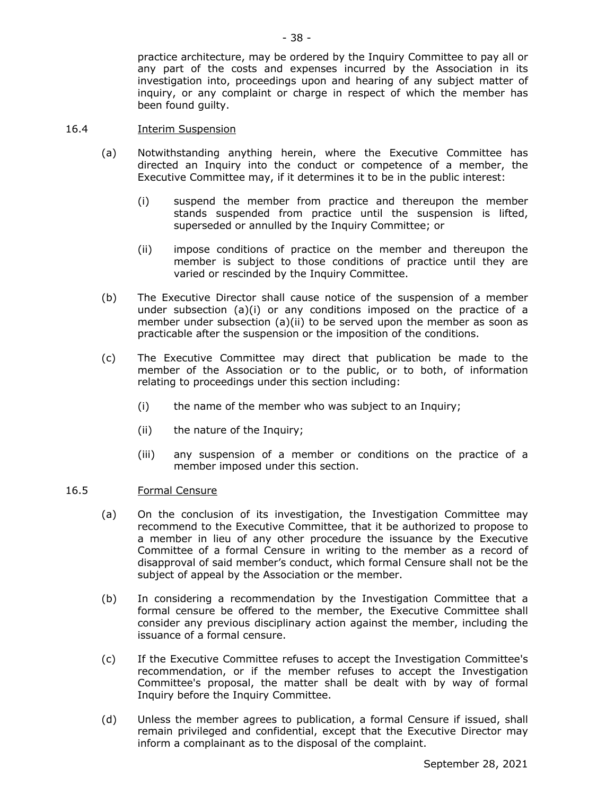practice architecture, may be ordered by the Inquiry Committee to pay all or any part of the costs and expenses incurred by the Association in its investigation into, proceedings upon and hearing of any subject matter of inquiry, or any complaint or charge in respect of which the member has been found guilty.

## 16.4 Interim Suspension

- (a) Notwithstanding anything herein, where the Executive Committee has directed an Inquiry into the conduct or competence of a member, the Executive Committee may, if it determines it to be in the public interest:
	- (i) suspend the member from practice and thereupon the member stands suspended from practice until the suspension is lifted, superseded or annulled by the Inquiry Committee; or
	- (ii) impose conditions of practice on the member and thereupon the member is subject to those conditions of practice until they are varied or rescinded by the Inquiry Committee.
- (b) The Executive Director shall cause notice of the suspension of a member under subsection  $(a)(i)$  or any conditions imposed on the practice of a member under subsection (a)(ii) to be served upon the member as soon as practicable after the suspension or the imposition of the conditions.
- (c) The Executive Committee may direct that publication be made to the member of the Association or to the public, or to both, of information relating to proceedings under this section including:
	- (i) the name of the member who was subject to an Inquiry;
	- (ii) the nature of the Inquiry;
	- (iii) any suspension of a member or conditions on the practice of a member imposed under this section.

#### 16.5 Formal Censure

- (a) On the conclusion of its investigation, the Investigation Committee may recommend to the Executive Committee, that it be authorized to propose to a member in lieu of any other procedure the issuance by the Executive Committee of a formal Censure in writing to the member as a record of disapproval of said member's conduct, which formal Censure shall not be the subject of appeal by the Association or the member.
- (b) In considering a recommendation by the Investigation Committee that a formal censure be offered to the member, the Executive Committee shall consider any previous disciplinary action against the member, including the issuance of a formal censure.
- (c) If the Executive Committee refuses to accept the Investigation Committee's recommendation, or if the member refuses to accept the Investigation Committee's proposal, the matter shall be dealt with by way of formal Inquiry before the Inquiry Committee.
- (d) Unless the member agrees to publication, a formal Censure if issued, shall remain privileged and confidential, except that the Executive Director may inform a complainant as to the disposal of the complaint.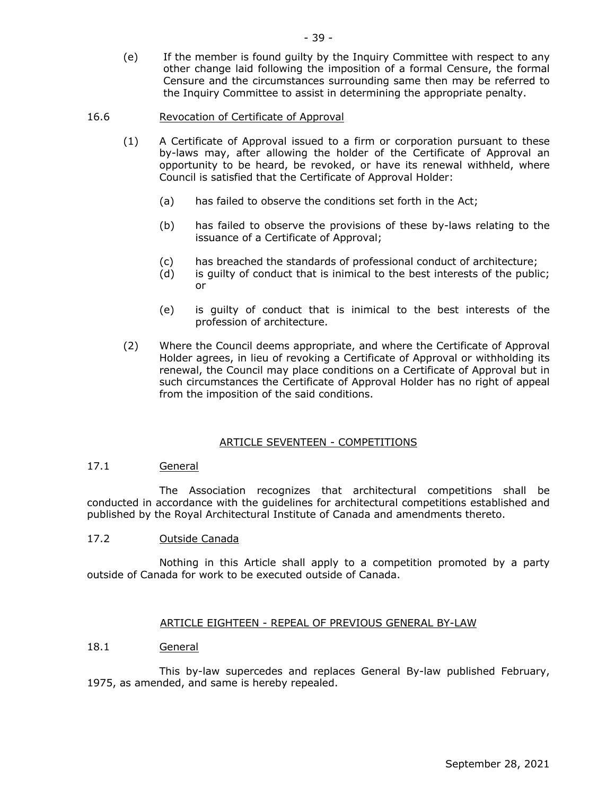(e) If the member is found guilty by the Inquiry Committee with respect to any other change laid following the imposition of a formal Censure, the formal Censure and the circumstances surrounding same then may be referred to the Inquiry Committee to assist in determining the appropriate penalty.

## 16.6 Revocation of Certificate of Approval

- (1) A Certificate of Approval issued to a firm or corporation pursuant to these by-laws may, after allowing the holder of the Certificate of Approval an opportunity to be heard, be revoked, or have its renewal withheld, where Council is satisfied that the Certificate of Approval Holder:
	- (a) has failed to observe the conditions set forth in the Act;
	- (b) has failed to observe the provisions of these by-laws relating to the issuance of a Certificate of Approval;
	- (c) has breached the standards of professional conduct of architecture;
	- (d) is guilty of conduct that is inimical to the best interests of the public; or
	- (e) is guilty of conduct that is inimical to the best interests of the profession of architecture.
- (2) Where the Council deems appropriate, and where the Certificate of Approval Holder agrees, in lieu of revoking a Certificate of Approval or withholding its renewal, the Council may place conditions on a Certificate of Approval but in such circumstances the Certificate of Approval Holder has no right of appeal from the imposition of the said conditions.

#### ARTICLE SEVENTEEN - COMPETITIONS

## 17.1 General

The Association recognizes that architectural competitions shall be conducted in accordance with the guidelines for architectural competitions established and published by the Royal Architectural Institute of Canada and amendments thereto.

## 17.2 Outside Canada

Nothing in this Article shall apply to a competition promoted by a party outside of Canada for work to be executed outside of Canada.

#### ARTICLE EIGHTEEN - REPEAL OF PREVIOUS GENERAL BY-LAW

#### 18.1 General

This by-law supercedes and replaces General By-law published February, 1975, as amended, and same is hereby repealed.